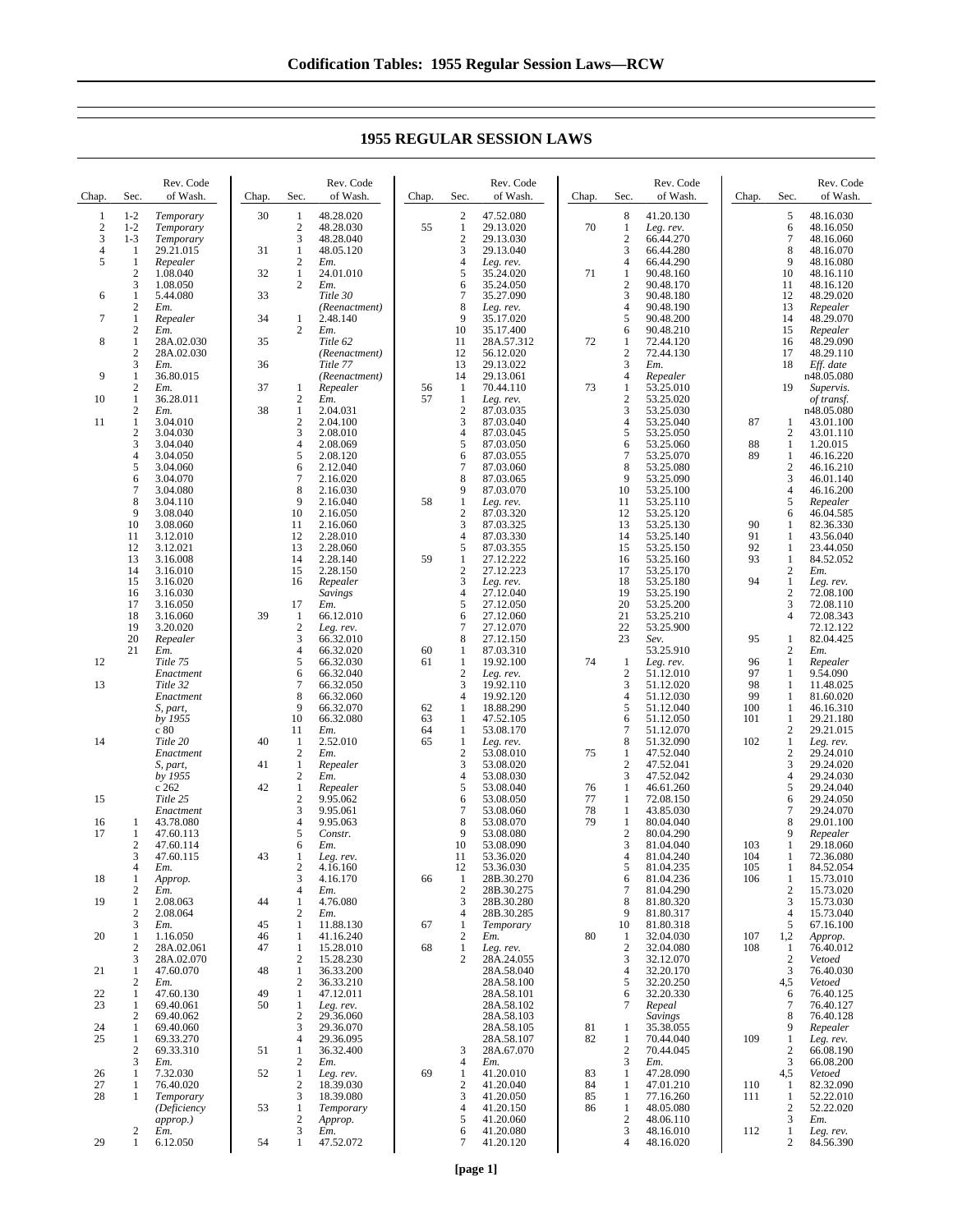| Chap.          | Sec.                           | Rev. Code<br>of Wash.    | Chap. | Sec.                            | Rev. Code<br>of Wash.     | Chap. | Sec.                             | Rev. Code<br>of Wash.   | Chap. | Sec.                            | Rev. Code<br>of Wash.  | Chap.    | Sec.                           | Rev. Code<br>of Wash.  |
|----------------|--------------------------------|--------------------------|-------|---------------------------------|---------------------------|-------|----------------------------------|-------------------------|-------|---------------------------------|------------------------|----------|--------------------------------|------------------------|
| $\mathbf{1}$   | $1 - 2$                        | Temporary                | 30    | $\mathbf{1}$                    | 48.28.020                 |       | $\sqrt{2}$                       | 47.52.080               |       | 8                               | 41.20.130              |          | 5                              | 48.16.030              |
| $\sqrt{2}$     | $1 - 2$                        | Temporary                |       | $\sqrt{2}$                      | 48.28.030                 | 55    | $\mathbf{1}$                     | 29.13.020               | 70    | $\mathbf{1}$                    | Leg. rev.              |          | 6                              | 48.16.050              |
| 3              | $1 - 3$                        | Temporary                |       | 3                               | 48.28.040                 |       | $\sqrt{2}$                       | 29.13.030               |       | $\overline{2}$                  | 66.44.270              |          | $\overline{7}$                 | 48.16.060              |
| $\overline{4}$ | 1                              | 29.21.015                | 31    | $\mathbf{1}$                    | 48.05.120                 |       | 3                                | 29.13.040               |       | 3                               | 66.44.280              |          | 8                              | 48.16.070              |
| 5              | $\mathbf{1}$<br>$\overline{c}$ | Repealer                 | 32    | $\mathbf{2}$<br>$\mathbf{1}$    | Em.                       |       | $\overline{4}$<br>5              | Leg. rev.               | 71    | $\overline{4}$<br>$\mathbf{1}$  | 66.44.290              |          | 9<br>10                        | 48.16.080              |
|                | 3                              | 1.08.040<br>1.08.050     |       | 2                               | 24.01.010<br>Em.          |       | 6                                | 35.24.020<br>35.24.050  |       | $\overline{2}$                  | 90.48.160<br>90.48.170 |          | 11                             | 48.16.110<br>48.16.120 |
| 6              | $\mathbf{1}$                   | 5.44.080                 | 33    |                                 | Title 30                  |       | $\overline{7}$                   | 35.27.090               |       | 3                               | 90.48.180              |          | 12                             | 48.29.020              |
|                | $\overline{c}$                 | Em.                      |       |                                 | (Reenactment)             |       | 8                                | Leg. rev.               |       | $\overline{4}$                  | 90.48.190              |          | 13                             | Repealer               |
| $\tau$         | $\mathbf{1}$                   | Repealer                 | 34    | $\mathbf{1}$                    | 2.48.140                  |       | $\overline{9}$                   | 35.17.020               |       | 5                               | 90.48.200              |          | 14                             | 48.29.070              |
|                | $\overline{c}$                 | Em.                      |       | $\overline{2}$                  | Em.                       |       | 10                               | 35.17.400               |       | 6                               | 90.48.210              |          | 15                             | Repealer               |
| 8              | $\mathbf{1}$<br>$\overline{c}$ | 28A.02.030<br>28A.02.030 | 35    |                                 | Title 62<br>(Reenactment) |       | 11<br>12                         | 28A.57.312<br>56.12.020 | 72    | $\mathbf{1}$<br>$\overline{2}$  | 72.44.120<br>72.44.130 |          | 16<br>17                       | 48.29.090<br>48.29.110 |
|                | 3                              | Em.                      | 36    |                                 | Title 77                  |       | 13                               | 29.13.022               |       | 3                               | Em.                    |          | 18                             | Eff. date              |
| 9              | $\mathbf{1}$                   | 36.80.015                |       |                                 | (Reenactment)             |       | 14                               | 29.13.061               |       | $\overline{4}$                  | Repealer               |          |                                | n48.05.080             |
|                | $\overline{c}$                 | Em.                      | 37    | 1                               | Repealer                  | 56    | -1                               | 70.44.110               | 73    | -1                              | 53.25.010              |          | 19                             | Supervis.              |
| 10             | $\mathbf{1}$                   | 36.28.011                |       | $\overline{c}$                  | Em.                       | 57    | $\mathbf{1}$                     | Leg. rev.               |       | $\overline{2}$                  | 53.25.020              |          |                                | of transf.             |
|                | $\overline{c}$                 | Em.                      | 38    | $\mathbf{1}$                    | 2.04.031                  |       | $\sqrt{2}$                       | 87.03.035               |       | 3                               | 53.25.030              |          |                                | n48.05.080             |
| 11             | $\mathbf{1}$<br>$\overline{c}$ | 3.04.010<br>3.04.030     |       | $\overline{c}$<br>$\mathfrak z$ | 2.04.100<br>2.08.010      |       | 3<br>$\overline{4}$              | 87.03.040<br>87.03.045  |       | $\overline{4}$<br>5             | 53.25.040              | 87       | 1<br>$\overline{c}$            | 43.01.100              |
|                | 3                              | 3.04.040                 |       | $\overline{4}$                  | 2.08.069                  |       | 5                                | 87.03.050               |       | 6                               | 53.25.050<br>53.25.060 | 88       | $\mathbf{1}$                   | 43.01.110<br>1.20.015  |
|                | $\overline{4}$                 | 3.04.050                 |       | 5                               | 2.08.120                  |       | 6                                | 87.03.055               |       | $\overline{7}$                  | 53.25.070              | 89       | 1                              | 46.16.220              |
|                | 5                              | 3.04.060                 |       | 6                               | 2.12.040                  |       | $\overline{7}$                   | 87.03.060               |       | 8                               | 53.25.080              |          | $\overline{2}$                 | 46.16.210              |
|                | 6                              | 3.04.070                 |       | $\overline{7}$                  | 2.16.020                  |       | $\,8\,$                          | 87.03.065               |       | 9                               | 53.25.090              |          | 3                              | 46.01.140              |
|                | 7                              | 3.04.080                 |       | 8                               | 2.16.030                  |       | 9                                | 87.03.070               |       | 10                              | 53.25.100              |          | $\overline{4}$                 | 46.16.200              |
|                | 8<br>9                         | 3.04.110                 |       | $\mathbf{Q}$                    | 2.16.040                  | 58    | $1\,$                            | Leg. rev.               |       | 11                              | 53.25.110              |          | 5                              | Repealer               |
|                | 10                             | 3.08.040<br>3.08.060     |       | 10<br>11                        | 2.16.050<br>2.16.060      |       | $\sqrt{2}$<br>3                  | 87.03.320<br>87.03.325  |       | 12<br>13                        | 53.25.120<br>53.25.130 | 90       | 6<br>-1                        | 46.04.585<br>82.36.330 |
|                | 11                             | 3.12.010                 |       | 12                              | 2.28.010                  |       | $\overline{4}$                   | 87.03.330               |       | 14                              | 53.25.140              | 91       | 1                              | 43.56.040              |
|                | 12                             | 3.12.021                 |       | 13                              | 2.28.060                  |       | 5                                | 87.03.355               |       | 15                              | 53.25.150              | 92       | $\mathbf{1}$                   | 23.44.050              |
|                | 13                             | 3.16.008                 |       | 14                              | 2.28.140                  | 59    | $1\,$                            | 27.12.222               |       | 16                              | 53.25.160              | 93       | -1                             | 84.52.052              |
|                | 14                             | 3.16.010                 |       | 15                              | 2.28.150                  |       | $\overline{2}$                   | 27.12.223               |       | 17                              | 53.25.170              |          | $\overline{2}$                 | Em.                    |
|                | 15                             | 3.16.020                 |       | 16                              | Repealer                  |       | 3                                | Leg. rev.               |       | 18                              | 53.25.180              | 94       | $\mathbf{1}$                   | Leg. rev.              |
|                | 16<br>17                       | 3.16.030<br>3.16.050     |       | 17                              | <b>Savings</b><br>Em.     |       | $\overline{4}$<br>5              | 27.12.040<br>27.12.050  |       | 19<br>20                        | 53.25.190<br>53.25.200 |          | $\overline{2}$<br>3            | 72.08.100<br>72.08.110 |
|                | 18                             | 3.16.060                 | 39    | 1                               | 66.12.010                 |       | 6                                | 27.12.060               |       | 21                              | 53.25.210              |          | $\overline{4}$                 | 72.08.343              |
|                | 19                             | 3.20.020                 |       | $\overline{2}$                  | Leg. rev.                 |       | $\overline{7}$                   | 27.12.070               |       | 22                              | 53.25.900              |          |                                | 72.12.122              |
|                | 20                             | Repealer                 |       | 3                               | 66.32.010                 |       | $\,8\,$                          | 27.12.150               |       | 23                              | Sev.                   | 95       | 1                              | 82.04.425              |
|                | 21                             | Em.                      |       | $\overline{4}$                  | 66.32.020                 | 60    | 1                                | 87.03.310               |       |                                 | 53.25.910              |          | $\overline{2}$                 | Em.                    |
| 12             |                                | Title 75                 |       | $\sqrt{5}$                      | 66.32.030                 | 61    | $\mathbf{1}$                     | 19.92.100               | 74    | 1                               | Leg. rev.              | 96       | 1                              | Repealer               |
| 13             |                                | Enactment<br>Title 32    |       | 6<br>$\tau$                     | 66.32.040<br>66.32.050    |       | $\overline{c}$<br>3              | Leg. rev.<br>19.92.110  |       | $\overline{2}$<br>$\mathfrak z$ | 51.12.010<br>51.12.020 | 97<br>98 | 1<br>1                         | 9.54.090<br>11.48.025  |
|                |                                | Enactment                |       | 8                               | 66.32.060                 |       | $\overline{4}$                   | 19.92.120               |       | $\overline{4}$                  | 51.12.030              | 99       | 1                              | 81.60.020              |
|                |                                | S, part,                 |       | 9                               | 66.32.070                 | 62    | $\mathbf{1}$                     | 18.88.290               |       | 5                               | 51.12.040              | 100      | -1                             | 46.16.310              |
|                |                                | by 1955                  |       | 10                              | 66.32.080                 | 63    | $\mathbf{1}$                     | 47.52.105               |       | 6                               | 51.12.050              | 101      | $\mathbf{1}$                   | 29.21.180              |
|                |                                | c80                      |       | 11                              | Em.                       | 64    | $\mathbf{1}$                     | 53.08.170               |       | $\tau$                          | 51.12.070              |          | 2                              | 29.21.015              |
| 14             |                                | Title 20                 | 40    | 1<br>$\mathfrak{2}$             | 2.52.010                  | 65    | 1<br>$\overline{2}$              | Leg. rev.               |       | 8                               | 51.32.090<br>47.52.040 | 102      | $\mathbf{1}$<br>$\overline{2}$ | Leg. rev.              |
|                |                                | Enactment<br>S, part,    | 41    | $\mathbf{1}$                    | Em.<br>Repealer           |       | $\overline{3}$                   | 53.08.010<br>53.08.020  | 75    | -1<br>$\overline{2}$            | 47.52.041              |          | 3                              | 29.24.010<br>29.24.020 |
|                |                                | by 1955                  |       | $\overline{c}$                  | Em.                       |       | $\overline{4}$                   | 53.08.030               |       | 3                               | 47.52.042              |          | $\overline{4}$                 | 29.24.030              |
|                |                                | c262                     | 42    | $\mathbf{1}$                    | Repealer                  |       | 5                                | 53.08.040               | 76    | $\mathbf{1}$                    | 46.61.260              |          | 5                              | 29.24.040              |
| 15             |                                | Title 25                 |       | $\overline{2}$                  | 9.95.062                  |       | 6                                | 53.08.050               | 77    | -1                              | 72.08.150              |          | 6                              | 29.24.050              |
|                |                                | Enactment                |       | 3                               | 9.95.061                  |       | $\overline{7}$                   | 53.08.060               | 78    | $\mathbf{1}$                    | 43.85.030              |          | $\overline{7}$                 | 29.24.070              |
| 16             | 1                              | 43.78.080                |       | $\overline{4}$                  | 9.95.063                  |       | 8<br>9                           | 53.08.070               | 79    | -1                              | 80.04.040              |          | 8<br>$\mathbf{Q}$              | 29.01.100              |
| 17             | $\mathbf{1}$<br>$\overline{c}$ | 47.60.113<br>47.60.114   |       | 5<br>6                          | Constr.<br>Em.            |       | 10                               | 53.08.080<br>53.08.090  |       | $\overline{2}$<br>3             | 80.04.290<br>81.04.040 | 103      | 1                              | Repealer<br>29.18.060  |
|                | 3                              | 47.60.115                | 43    | 1                               | Leg. rev.                 |       | 11                               | 53.36.020               |       | $\overline{4}$                  | 81.04.240              | 104      | 1                              | 72.36.080              |
|                | $\overline{4}$                 | Em.                      |       | $\overline{2}$                  | 4.16.160                  |       | 12                               | 53.36.030               |       | 5                               | 81.04.235              | 105      | $\mathbf{1}$                   | 84.52.054              |
| 18             | 1                              | Approp.                  |       | 3                               | 4.16.170                  | 66    | $\mathbf{1}$                     | 28B.30.270              |       | 6                               | 81.04.236              | 106      | $\mathbf{1}$                   | 15.73.010              |
|                | $\mathbf{2}$                   | Em.                      |       | $\overline{4}$                  | Em.                       |       | $\overline{2}$                   | 28B.30.275              |       | $\overline{7}$                  | 81.04.290              |          | $\overline{2}$                 | 15.73.020              |
| 19             | 1<br>$\overline{c}$            | 2.08.063<br>2.08.064     | 44    | $\mathbf{1}$<br>$\overline{2}$  | 4.76.080                  |       | $\mathfrak{Z}$<br>$\overline{4}$ | 28B.30.280              |       | 8<br>9                          | 81.80.320              |          | 3<br>$\overline{4}$            | 15.73.030              |
|                | 3                              | Em.                      | 45    | 1                               | Em.<br>11.88.130          | 67    | $\mathbf{1}$                     | 28B.30.285<br>Temporary |       | 10                              | 81.80.317<br>81.80.318 |          | 5                              | 15.73.040<br>67.16.100 |
| 20             |                                | 1.16.050                 | 46    | 1                               | 41.16.240                 |       | $\overline{c}$                   | Em.                     | 80    | 1                               | 32.04.030              | 107      | 1,2                            | Approp.                |

## **1955 REGULAR SESSION LAWS**

2 *Em.*<br>1 *Leg.*<br>2 28A 1 *Leg. rev.* 2 28A.24.055 28A.58.040

28A.58.100 28A.58.101 28A.58.102 28A.58.103 28A.58.105 28A.58.107  $\begin{array}{ll} 3 & 28 \text{A.67.070} \\ 4 & Em. \\ 1 & 41.20.010 \end{array}$ 4 *Em.* 1 41.20.010  $\begin{array}{r}\n 2 \quad 41.20.040 \\
3 \quad 41.20.050\n \end{array}$  41.20.050 41.20.150 41.20.060 6 41.20.080  $\begin{array}{r} 5 & 41.20.060 \\ 6 & 41.20.080 \\ 7 & 41.20.120 \end{array}$ 

10 81.80.318<br>1 32.04.030 80 1 32.04.030<br>2 32.04.080<br>3 32.12.070 32.04.080 3 32.12.070<br>4 32.20.170  $\frac{32.12.076}{32.20.170}$ 5 32.20.250<br>6 32.20.330<br>7 Repeal 32.20.330 *Repeal Savings* 1 35.38.055 82 1 70.44.040<br>2 70.44.045  $\frac{2}{3}$  70.44.045 3 *Em.* 1 47.28.090 84 1 47.01.210<br>85 1 77.16.260 1 77.16.260  $\begin{array}{r} 1 & 48.05.080 \\ 2 & 48.06.110 \\ 3 & 48.16.010 \end{array}$  48.06.110 3 48.16.010 48.16.020

 $\frac{5}{1,2}$  67.16.100<br>1,2 *Approp.* 1,2 *Approp.* 108 1 76.40.012

 *Vetoed* 3 76.40.030 4,5 *Vetoed* 6 76.40.125<br>7 76.40.127<br>8 76.40.128 76.40.127 8 76.40.128<br>9 *Repealer Repealer* 1 *Leg. rev.*  $\begin{array}{r}\n 2 \quad 66.08.190 \\
3 \quad 66.08.200 \\
4.5 \quad Vetoed\n\end{array}$  66.08.200 4,5 *Vetoed* 110 1 82.32.090<br>111 1 52.22.010 1 52.22.010<br>2 52.22.020 2 52.22.020<br>3 *Em.*<br>1 *Leg. rev. Em.* 1 *Leg. rev.* 2 84.56.390

 $\frac{3}{3}$  *Em.*<br>1 1.16 20 1 1.16.050<br>2 28A.02.0<br>3 28A.02.0

 28A.02.061 3 28A.02.070<br>1 47.60.070 21 1  $47.60.070$ <br>2  $Em.$  *Em.*  $\begin{array}{cccc}\n 22 & 1 & 47.60.130 \\
23 & 1 & 69.40.061 \\
2 & 69.40.062\n \end{array}$  1 69.40.061 2 69.40.062 24 1 69.40.060<br>25 1 69.33.270 1 69.33.270<br>2 69.33.310  $\frac{2}{3}$  69.33.310<br>3 Em. 3 *Em.* 1 7.32.030 27 1 76.40.020<br>28 1 *Temporar* 

 $\begin{array}{cccc} 46 & 1 & 41.16.240 \\ 47 & 1 & 15.28.010 \\ 2 & 15.28.230 \\ 48 & 1 & 36.33.200 \end{array}$ 

48 1 36.33.200<br>2 36.33.210  $\begin{array}{r} 2 & 36.33.210 \\ 1 & 47.12.011 \end{array}$ 49 1 47.12.011<br>50 1 Leg. rev.<br>2 29.36.060 1 *Leg. rev.* 2 29.36.060  $\frac{29.36.000}{29.36.070}$ 4 29.36.095<br>1 36.32.400 51 1 36.32.400<br>2 *Em.*<br>52 1 *Leg. rev. Em.* 1 *Leg. rev.* 2 18.39.030 3 18.39.080<br>1 Temporary 1 *Temporary Approp.* 3 *Em.* 1 47.52.072

15.28.010 15.28.230

 $Temporary$ *(Deficiency approp.) Em.* 29 1 6.12.050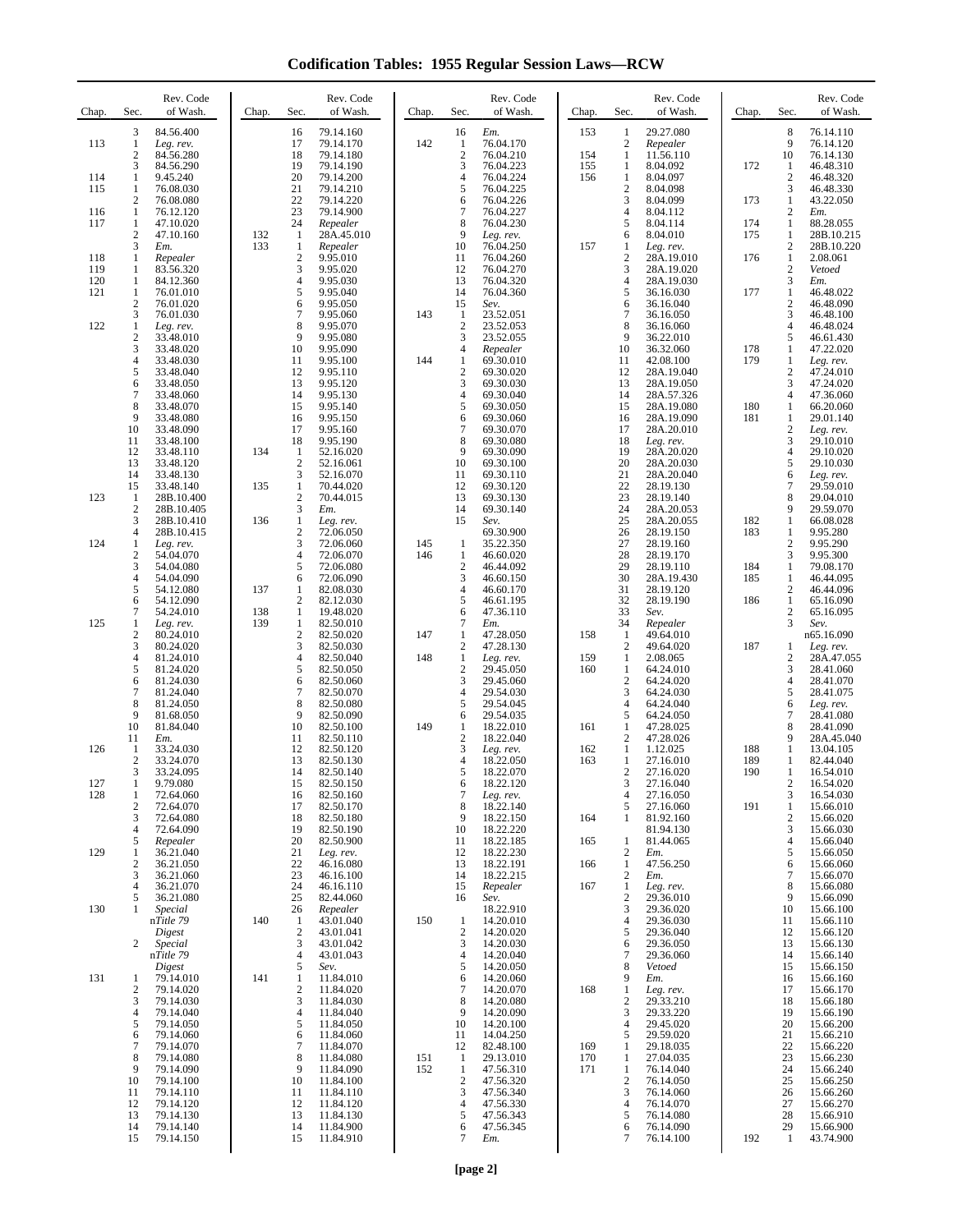**Codification Tables: 1955 Regular Session Laws—RCW**

| Chap.             | Sec.                               | Rev. Code<br>of Wash.                                        | Chap. | Sec.                                  | Rev. Code<br>of Wash.                                         | Chap.      | Sec.                                         | Rev. Code<br>of Wash.                                   | Chap.                    | Sec.                                    | Rev. Code<br>of Wash.                                      | Chap.      | Sec.                                       | Rev. Code<br>of Wash.                                         |
|-------------------|------------------------------------|--------------------------------------------------------------|-------|---------------------------------------|---------------------------------------------------------------|------------|----------------------------------------------|---------------------------------------------------------|--------------------------|-----------------------------------------|------------------------------------------------------------|------------|--------------------------------------------|---------------------------------------------------------------|
| 113<br>114        | 3<br>1<br>$\mathfrak{2}$<br>3<br>1 | 84.56.400<br>Leg. rev.<br>84.56.280<br>84.56.290<br>9.45.240 |       | 16<br>17<br>18<br>19<br>20            | 79.14.160<br>79.14.170<br>79.14.180<br>79.14.190<br>79.14.200 | 142        | 16<br>1<br>$\sqrt{2}$<br>3<br>$\overline{4}$ | Em.<br>76.04.170<br>76.04.210<br>76.04.223<br>76.04.224 | 153<br>154<br>155<br>156 | 1<br>2<br>1<br>1<br>1                   | 29.27.080<br>Repealer<br>11.56.110<br>8.04.092<br>8.04.097 | 172        | 8<br>9<br>10<br>1<br>$\overline{c}$        | 76.14.110<br>76.14.120<br>76.14.130<br>46.48.310<br>46.48.320 |
| 115               | 1<br>2                             | 76.08.030<br>76.08.080                                       |       | 21<br>22                              | 79.14.210<br>79.14.220                                        |            | 5<br>6                                       | 76.04.225<br>76.04.226                                  |                          | $\overline{c}$<br>3                     | 8.04.098<br>8.04.099                                       | 173        | 3<br>$\mathbf{1}$                          | 46.48.330<br>43.22.050                                        |
| 116<br>117        | 1<br>1<br>$\boldsymbol{2}$         | 76.12.120<br>47.10.020<br>47.10.160                          | 132   | 23<br>24<br>$\mathbf{1}$              | 79.14.900<br>Repealer<br>28A.45.010                           |            | $\overline{7}$<br>8<br>9                     | 76.04.227<br>76.04.230<br>Leg. rev.                     |                          | 4<br>5<br>6                             | 8.04.112<br>8.04.114<br>8.04.010                           | 174<br>175 | $\sqrt{2}$<br>$\mathbf{1}$<br>$\mathbf{1}$ | Em.<br>88.28.055<br>28B.10.215                                |
| 118               | 3<br>1                             | Em.<br>Repealer                                              | 133   | 1<br>$\boldsymbol{2}$                 | Repealer<br>9.95.010                                          |            | 10<br>11                                     | 76.04.250<br>76.04.260                                  | 157                      | 1<br>$\overline{2}$                     | Leg. rev.<br>28A.19.010                                    | 176        | $\mathfrak{2}$<br>$\mathbf{1}$             | 28B.10.220<br>2.08.061                                        |
| 119<br>120<br>121 | 1<br>1<br>$\mathbf{1}$             | 83.56.320<br>84.12.360<br>76.01.010                          |       | 3<br>4<br>5                           | 9.95.020<br>9.95.030<br>9.95.040                              |            | 12<br>13<br>14                               | 76.04.270<br>76.04.320<br>76.04.360                     |                          | 3<br>4<br>5                             | 28A.19.020<br>28A.19.030<br>36.16.030                      | 177        | $\mathfrak{2}$<br>3<br>$\mathbf{1}$        | Vetoed<br>Em.<br>46.48.022                                    |
|                   | $\mathfrak{2}$<br>3                | 76.01.020<br>76.01.030                                       |       | 6<br>$\overline{7}$                   | 9.95.050<br>9.95.060                                          | 143        | 15<br>$\mathbf{1}$                           | Sev.<br>23.52.051                                       |                          | 6<br>$\overline{7}$                     | 36.16.040<br>36.16.050                                     |            | $\boldsymbol{2}$<br>3                      | 46.48.090<br>46.48.100                                        |
| 122               | 1<br>$\sqrt{2}$<br>$\mathfrak{Z}$  | Leg. rev.<br>33.48.010<br>33.48.020                          |       | 8<br>9<br>10                          | 9.95.070<br>9.95.080<br>9.95.090                              |            | $\sqrt{2}$<br>3<br>$\overline{4}$            | 23.52.053<br>23.52.055<br>Repealer                      |                          | 8<br>9<br>10                            | 36.16.060<br>36.22.010<br>36.32.060                        | 178        | $\overline{4}$<br>5<br>1                   | 46.48.024<br>46.61.430<br>47.22.020                           |
|                   | 4<br>5<br>6                        | 33.48.030<br>33.48.040<br>33.48.050                          |       | 11<br>12<br>13                        | 9.95.100<br>9.95.110<br>9.95.120                              | 144        | $\mathbf{1}$<br>$\sqrt{2}$<br>3              | 69.30.010<br>69.30.020<br>69.30.030                     |                          | 11<br>12<br>13                          | 42.08.100<br>28A.19.040<br>28A.19.050                      | 179        | 1<br>$\mathfrak{2}$<br>3                   | Leg. rev.<br>47.24.010<br>47.24.020                           |
|                   | 7<br>8                             | 33.48.060<br>33.48.070                                       |       | 14<br>15                              | 9.95.130<br>9.95.140                                          |            | $\overline{4}$<br>5                          | 69.30.040<br>69.30.050                                  |                          | 14<br>15                                | 28A.57.326<br>28A.19.080                                   | 180        | $\overline{4}$<br>$\mathbf{1}$             | 47.36.060<br>66.20.060                                        |
|                   | 9<br>10<br>11                      | 33.48.080<br>33.48.090<br>33.48.100                          |       | 16<br>17<br>18                        | 9.95.150<br>9.95.160<br>9.95.190                              |            | 6<br>$\overline{7}$<br>8                     | 69.30.060<br>69.30.070<br>69.30.080                     |                          | 16<br>17<br>18                          | 28A.19.090<br>28A.20.010<br>Leg. rev.                      | 181        | $\mathbf{1}$<br>$\mathfrak{2}$<br>3        | 29.01.140<br>Leg. rev.<br>29.10.010                           |
|                   | 12<br>13                           | 33.48.110<br>33.48.120                                       | 134   | 1<br>$\overline{2}$                   | 52.16.020<br>52.16.061                                        |            | 9<br>10                                      | 69.30.090<br>69.30.100                                  |                          | 19<br>20                                | 28A.20.020<br>28A.20.030                                   |            | 4<br>5                                     | 29.10.020<br>29.10.030                                        |
| 123               | 14<br>15<br>1                      | 33.48.130<br>33.48.140<br>28B.10.400                         | 135   | 3<br>$\mathbf{1}$<br>$\mathbf{2}$     | 52.16.070<br>70.44.020<br>70.44.015                           |            | 11<br>12<br>13                               | 69.30.110<br>69.30.120<br>69.30.130                     |                          | 21<br>22<br>23                          | 28A.20.040<br>28.19.130<br>28.19.140                       |            | 6<br>7<br>8                                | Leg. rev.<br>29.59.010<br>29.04.010                           |
|                   | $\mathfrak{2}$<br>3                | 28B.10.405<br>28B.10.410                                     | 136   | 3<br>1                                | Em.<br>Leg. rev.                                              |            | 14<br>15                                     | 69.30.140<br>Sev.                                       |                          | 24<br>25                                | 28A.20.053<br>28A.20.055                                   | 182        | 9<br>$\mathbf{1}$                          | 29.59.070<br>66.08.028                                        |
| 124               | 4<br>1<br>$\boldsymbol{2}$         | 28B.10.415<br>Leg. rev.<br>54.04.070                         |       | $\overline{c}$<br>3<br>$\overline{4}$ | 72.06.050<br>72.06.060<br>72.06.070                           | 145<br>146 | $\mathbf{1}$<br>$\mathbf{1}$                 | 69.30.900<br>35.22.350<br>46.60.020                     |                          | 26<br>27<br>28                          | 28.19.150<br>28.19.160<br>28.19.170                        | 183        | $\mathbf{1}$<br>$\boldsymbol{2}$<br>3      | 9.95.280<br>9.95.290<br>9.95.300                              |
|                   | 3<br>4<br>5                        | 54.04.080<br>54.04.090<br>54.12.080                          | 137   | 5<br>6<br>1                           | 72.06.080<br>72.06.090<br>82.08.030                           |            | $\sqrt{2}$<br>3<br>$\overline{4}$            | 46.44.092<br>46.60.150<br>46.60.170                     |                          | 29<br>30<br>31                          | 28.19.110<br>28A.19.430<br>28.19.120                       | 184<br>185 | $\mathbf{1}$<br>1<br>$\sqrt{2}$            | 79.08.170<br>46.44.095<br>46.44.096                           |
|                   | 6<br>7                             | 54.12.090<br>54.24.010                                       | 138   | $\overline{c}$<br>$\mathbf{1}$        | 82.12.030<br>19.48.020                                        |            | 5<br>6                                       | 46.61.195<br>47.36.110                                  |                          | 32<br>33                                | 28.19.190<br>Sev.                                          | 186        | $\mathbf{1}$<br>$\sqrt{2}$                 | 65.16.090<br>65.16.095                                        |
| 125               | 1<br>$\overline{2}$<br>3           | Leg. rev.<br>80.24.010<br>80.24.020                          | 139   | $\mathbf{1}$<br>$\overline{2}$<br>3   | 82.50.010<br>82.50.020<br>82.50.030                           | 147        | $\tau$<br>$\mathbf{1}$<br>$\boldsymbol{2}$   | Em.<br>47.28.050<br>47.28.130                           | 158                      | 34<br>1<br>$\overline{c}$               | Repealer<br>49.64.010<br>49.64.020                         | 187        | 3<br>1                                     | Sev.<br>n65.16.090<br>Leg. rev.                               |
|                   | 4<br>5                             | 81.24.010<br>81.24.020                                       |       | 4<br>5                                | 82.50.040<br>82.50.050                                        | 148        | $\mathbf{1}$<br>$\sqrt{2}$                   | Leg. rev.<br>29.45.050                                  | 159<br>160               | 1<br>1                                  | 2.08.065<br>64.24.010                                      |            | 2<br>3                                     | 28A.47.055<br>28.41.060                                       |
|                   | 6<br>7<br>8                        | 81.24.030<br>81.24.040<br>81.24.050                          |       | 6<br>$\tau$<br>8                      | 82.50.060<br>82.50.070<br>82.50.080                           |            | 3<br>$\overline{4}$<br>5                     | 29.45.060<br>29.54.030<br>29.54.045                     |                          | $\boldsymbol{2}$<br>3<br>$\overline{4}$ | 64.24.020<br>64.24.030<br>64.24.040                        |            | $\overline{4}$<br>5<br>6                   | 28.41.070<br>28.41.075<br>Leg. rev.                           |
|                   | 9<br>10                            | 81.68.050<br>81.84.040                                       |       | 9<br>10                               | 82.50.090<br>82.50.100                                        | 149        | 6<br>1                                       | 29.54.035<br>18.22.010                                  | 161                      | 5<br>1                                  | 64.24.050<br>47.28.025                                     |            | 7<br>8                                     | 28.41.080<br>28.41.090                                        |
| 126               | 11<br>1<br>$\mathfrak{2}$          | Em.<br>33.24.030<br>33.24.070                                |       | 11<br>12<br>13                        | 82.50.110<br>82.50.120<br>82.50.130                           |            | $\overline{2}$<br>3<br>$\overline{4}$        | 18.22.040<br>Leg. rev.<br>18.22.050                     | 162<br>163               | 2<br>$\mathbf{1}$<br>1                  | 47.28.026<br>1.12.025<br>27.16.010                         | 188<br>189 | 9<br>1<br>1                                | 28A.45.040<br>13.04.105<br>82.44.040                          |
| 127               | 3<br>-1                            | 33.24.095<br>9.79.080                                        |       | 14<br>15                              | 82.50.140<br>82.50.150                                        |            | 5<br>6                                       | 18.22.070<br>18.22.120                                  |                          | $\overline{c}$<br>3                     | 27.16.020<br>27.16.040                                     | 190        | $\mathbf{1}$<br>2                          | 16.54.010<br>16.54.020                                        |
| 128               | 1<br>$\mathfrak{2}$<br>3           | 72.64.060<br>72.64.070<br>72.64.080                          |       | 16<br>17<br>18                        | 82.50.160<br>82.50.170<br>82.50.180                           |            | $\tau$<br>8<br>9                             | Leg. rev.<br>18.22.140<br>18.22.150                     | 164                      | 4<br>5<br>1                             | 27.16.050<br>27.16.060<br>81.92.160                        | 191        | 3<br>$\mathbf{1}$<br>$\sqrt{2}$            | 16.54.030<br>15.66.010<br>15.66.020                           |
| 129               | 4<br>5<br>1                        | 72.64.090<br>Repealer<br>36.21.040                           |       | 19<br>20<br>21                        | 82.50.190<br>82.50.900<br>Leg. rev.                           |            | 10<br>11<br>12                               | 18.22.220<br>18.22.185<br>18.22.230                     | 165                      | 1<br>2                                  | 81.94.130<br>81.44.065<br>Em.                              |            | 3<br>$\overline{4}$<br>5                   | 15.66.030<br>15.66.040<br>15.66.050                           |
|                   | 2<br>3                             | 36.21.050<br>36.21.060                                       |       | 22<br>23                              | 46.16.080<br>46.16.100                                        |            | 13<br>14                                     | 18.22.191<br>18.22.215                                  | 166                      | 1<br>$\overline{c}$                     | 47.56.250<br>Em.                                           |            | 6<br>7                                     | 15.66.060<br>15.66.070                                        |
| 130               | $\overline{4}$<br>5<br>1           | 36.21.070<br>36.21.080<br>Special                            |       | 24<br>25<br>26                        | 46.16.110<br>82.44.060<br>Repealer                            |            | 15<br>16                                     | Repealer<br>Sev.<br>18.22.910                           | 167                      | 1<br>2<br>3                             | Leg. rev.<br>29.36.010<br>29.36.020                        |            | 8<br>9<br>10                               | 15.66.080<br>15.66.090<br>15.66.100                           |
|                   |                                    | nTitle 79<br>Digest                                          | 140   | $\mathbf{1}$<br>$\sqrt{2}$            | 43.01.040<br>43.01.041                                        | 150        | 1<br>$\sqrt{2}$                              | 14.20.010<br>14.20.020                                  |                          | 4<br>5                                  | 29.36.030<br>29.36.040                                     |            | 11<br>12                                   | 15.66.110<br>15.66.120                                        |
|                   | 2                                  | Special<br>nTitle 79<br>Digest                               |       | 3<br>$\overline{4}$<br>5              | 43.01.042<br>43.01.043<br>Sev.                                |            | 3<br>$\overline{4}$<br>5                     | 14.20.030<br>14.20.040<br>14.20.050                     |                          | 6<br>$\overline{7}$<br>8                | 29.36.050<br>29.36.060<br>Vetoed                           |            | 13<br>14<br>15                             | 15.66.130<br>15.66.140<br>15.66.150                           |
| 131               | 1<br>$\mathfrak{2}$<br>3           | 79.14.010<br>79.14.020<br>79.14.030                          | 141   | 1<br>$\overline{2}$<br>3              | 11.84.010<br>11.84.020<br>11.84.030                           |            | 6<br>$\tau$<br>8                             | 14.20.060<br>14.20.070<br>14.20.080                     | 168                      | 9<br>1<br>2                             | Em.<br>Leg. rev.<br>29.33.210                              |            | 16<br>17<br>18                             | 15.66.160<br>15.66.170                                        |
|                   | 4<br>5                             | 79.14.040<br>79.14.050                                       |       | $\overline{4}$<br>5                   | 11.84.040<br>11.84.050                                        |            | 9<br>10                                      | 14.20.090<br>14.20.100                                  |                          | 3<br>4                                  | 29.33.220<br>29.45.020                                     |            | 19<br>20                                   | 15.66.180<br>15.66.190<br>15.66.200                           |
|                   | 6<br>7<br>8                        | 79.14.060<br>79.14.070<br>79.14.080                          |       | 6<br>$\overline{7}$<br>8              | 11.84.060<br>11.84.070<br>11.84.080                           | 151        | 11<br>12<br>-1                               | 14.04.250<br>82.48.100<br>29.13.010                     | 169<br>170               | 5<br>1<br>1                             | 29.59.020<br>29.18.035<br>27.04.035                        |            | 21<br>22<br>23                             | 15.66.210<br>15.66.220<br>15.66.230                           |
|                   | 9<br>10                            | 79.14.090<br>79.14.100                                       |       | 9<br>10                               | 11.84.090<br>11.84.100                                        | 152        | $\mathbf{1}$<br>$\sqrt{2}$                   | 47.56.310<br>47.56.320                                  | 171                      | 1<br>$\overline{2}$                     | 76.14.040<br>76.14.050                                     |            | 24<br>25                                   | 15.66.240<br>15.66.250                                        |
|                   | 11<br>12<br>13                     | 79.14.110<br>79.14.120<br>79.14.130                          |       | 11<br>12<br>13                        | 11.84.110<br>11.84.120<br>11.84.130                           |            | 3<br>$\overline{4}$<br>5                     | 47.56.340<br>47.56.330<br>47.56.343                     |                          | 3<br>$\overline{4}$<br>5                | 76.14.060<br>76.14.070<br>76.14.080                        |            | 26<br>27<br>28                             | 15.66.260<br>15.66.270<br>15.66.910                           |
|                   | 14<br>15                           | 79.14.140<br>79.14.150                                       |       | 14<br>15                              | 11.84.900<br>11.84.910                                        |            | 6<br>7                                       | 47.56.345<br>Em.                                        |                          | 6<br>7                                  | 76.14.090<br>76.14.100                                     | 192        | 29<br>1                                    | 15.66.900<br>43.74.900                                        |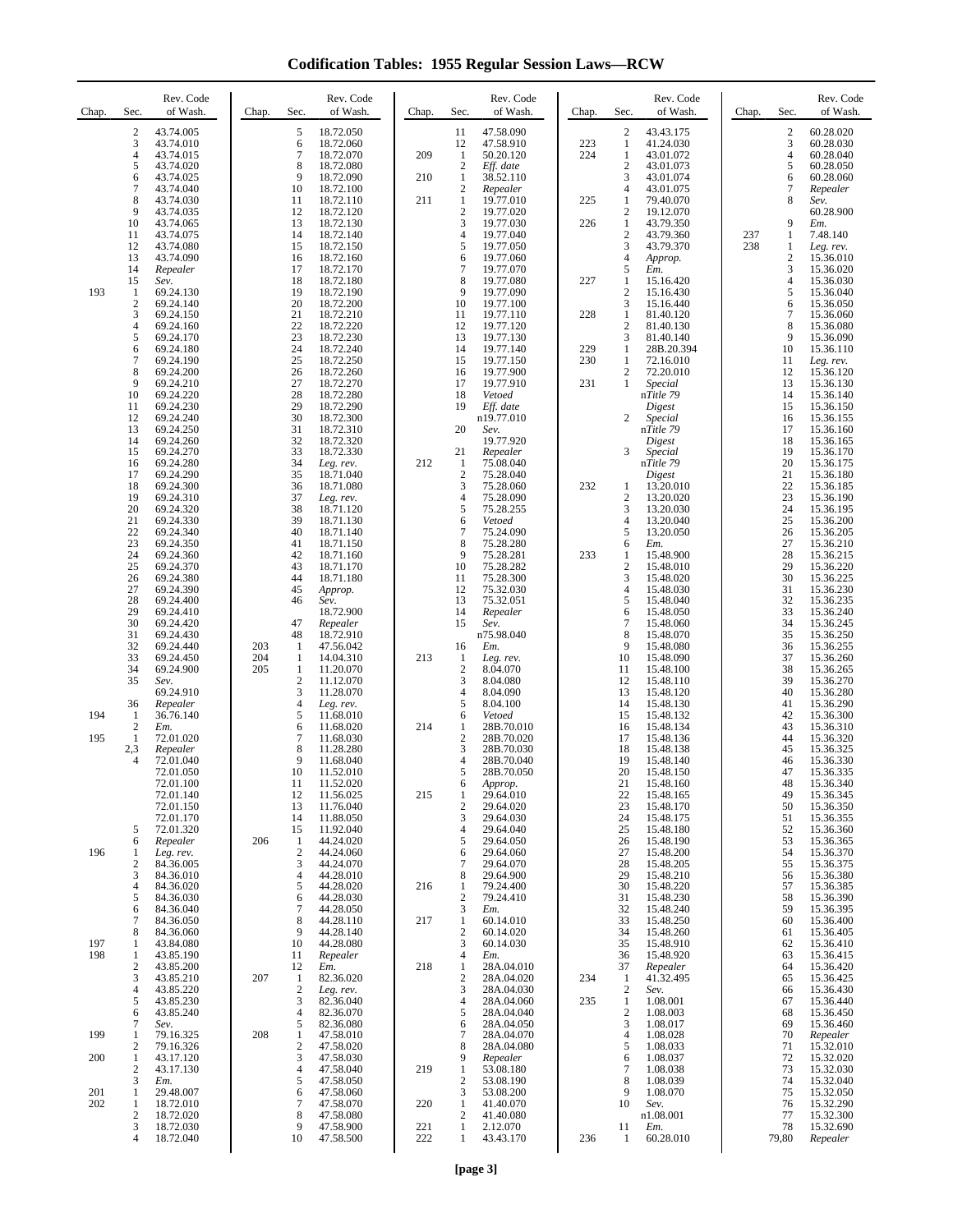**Codification Tables: 1955 Regular Session Laws—RCW**

| Chap.      | Sec.                          | Rev. Code<br>of Wash.                            | Chap.      | Sec.                                  | Rev. Code<br>of Wash.                            | Chap.      | Sec.                                       | Rev. Code<br>of Wash.                            | Chap.      | Sec.                                       | Rev. Code<br>of Wash.                            | Chap.      | Sec.                                         | Rev. Code<br>of Wash.                            |
|------------|-------------------------------|--------------------------------------------------|------------|---------------------------------------|--------------------------------------------------|------------|--------------------------------------------|--------------------------------------------------|------------|--------------------------------------------|--------------------------------------------------|------------|----------------------------------------------|--------------------------------------------------|
|            | $\overline{c}$<br>3<br>4<br>5 | 43.74.005<br>43.74.010<br>43.74.015<br>43.74.020 |            | 5<br>6<br>$\tau$<br>8                 | 18.72.050<br>18.72.060<br>18.72.070<br>18.72.080 | 209        | 11<br>12<br>$\mathbf{1}$<br>$\overline{2}$ | 47.58.090<br>47.58.910<br>50.20.120<br>Eff. date | 223<br>224 | 2<br>$\mathbf{1}$<br>1<br>$\boldsymbol{2}$ | 43.43.175<br>41.24.030<br>43.01.072<br>43.01.073 |            | $\boldsymbol{2}$<br>3<br>$\overline{4}$<br>5 | 60.28.020<br>60.28.030<br>60.28.040<br>60.28.050 |
|            | 6<br>7<br>8                   | 43.74.025<br>43.74.040<br>43.74.030              |            | 9<br>10<br>11                         | 18.72.090<br>18.72.100<br>18.72.110              | 210<br>211 | -1<br>$\overline{2}$<br>1                  | 38.52.110<br>Repealer<br>19.77.010               | 225        | 3<br>4<br>1                                | 43.01.074<br>43.01.075<br>79.40.070              |            | 6<br>7<br>8                                  | 60.28.060<br>Repealer<br>Sev.                    |
|            | 9<br>10                       | 43.74.035<br>43.74.065                           |            | 12<br>13                              | 18.72.120<br>18.72.130                           |            | $\overline{2}$<br>3                        | 19.77.020<br>19.77.030                           | 226        | $\overline{2}$<br>1                        | 19.12.070<br>43.79.350                           |            | 9                                            | 60.28.900<br>Em.                                 |
|            | 11<br>12                      | 43.74.075<br>43.74.080                           |            | 14<br>15                              | 18.72.140<br>18.72.150                           |            | $\overline{4}$<br>5                        | 19.77.040<br>19.77.050                           |            | $\boldsymbol{2}$<br>3                      | 43.79.360<br>43.79.370                           | 237<br>238 | $\mathbf{1}$<br>$\mathbf{1}$                 | 7.48.140<br>Leg. rev.                            |
|            | 13<br>14<br>15                | 43.74.090<br>Repealer<br>Sev.                    |            | 16<br>17<br>18                        | 18.72.160<br>18.72.170<br>18.72.180              |            | 6<br>$\overline{7}$<br>8                   | 19.77.060<br>19.77.070<br>19.77.080              | 227        | $\overline{4}$<br>5<br>1                   | Approp.<br>Em.<br>15.16.420                      |            | $\sqrt{2}$<br>3<br>$\overline{4}$            | 15.36.010<br>15.36.020<br>15.36.030              |
| 193        | -1<br>$\overline{2}$          | 69.24.130<br>69.24.140                           |            | 19<br>20                              | 18.72.190<br>18.72.200                           |            | 9<br>10                                    | 19.77.090<br>19.77.100                           |            | $\overline{c}$<br>3                        | 15.16.430<br>15.16.440                           |            | 5<br>6                                       | 15.36.040<br>15.36.050                           |
|            | 3<br>4<br>5                   | 69.24.150<br>69.24.160<br>69.24.170              |            | 21<br>22<br>23                        | 18.72.210<br>18.72.220<br>18.72.230              |            | 11<br>12<br>13                             | 19.77.110<br>19.77.120<br>19.77.130              | 228        | 1<br>$\overline{c}$<br>3                   | 81.40.120<br>81.40.130<br>81.40.140              |            | 7<br>8<br>9                                  | 15.36.060<br>15.36.080<br>15.36.090              |
|            | 6<br>7                        | 69.24.180<br>69.24.190                           |            | 24<br>25                              | 18.72.240<br>18.72.250                           |            | 14<br>15                                   | 19.77.140<br>19.77.150                           | 229<br>230 | 1<br>1                                     | 28B.20.394<br>72.16.010                          |            | 10<br>11                                     | 15.36.110<br>Leg. rev.                           |
|            | 8<br>9                        | 69.24.200<br>69.24.210                           |            | 26<br>27                              | 18.72.260<br>18.72.270                           |            | 16<br>17<br>18                             | 19.77.900<br>19.77.910                           | 231        | 2<br>$\mathbf{1}$                          | 72.20.010<br>Special                             |            | 12<br>13                                     | 15.36.120<br>15.36.130                           |
|            | 10<br>11<br>12                | 69.24.220<br>69.24.230<br>69.24.240              |            | 28<br>29<br>30                        | 18.72.280<br>18.72.290<br>18.72.300              |            | 19                                         | Vetoed<br>Eff. date<br>n19.77.010                |            | $\overline{c}$                             | nTitle 79<br>Digest<br>Special                   |            | 14<br>15<br>16                               | 15.36.140<br>15.36.150<br>15.36.155              |
|            | 13<br>14                      | 69.24.250<br>69.24.260                           |            | 31<br>32                              | 18.72.310<br>18.72.320                           |            | 20                                         | Sev.<br>19.77.920                                |            |                                            | nTitle 79<br>Digest                              |            | 17<br>18                                     | 15.36.160<br>15.36.165                           |
|            | 15<br>16<br>17                | 69.24.270<br>69.24.280<br>69.24.290              |            | 33<br>34<br>35                        | 18.72.330<br>Leg. rev.<br>18.71.040              | 212        | 21<br>-1<br>$\boldsymbol{2}$               | Repealer<br>75.08.040<br>75.28.040               |            | 3                                          | Special<br>nTitle 79<br>Digest                   |            | 19<br>20<br>21                               | 15.36.170<br>15.36.175<br>15.36.180              |
|            | 18<br>19                      | 69.24.300<br>69.24.310                           |            | 36<br>37                              | 18.71.080<br>Leg. rev.                           |            | 3<br>$\overline{4}$                        | 75.28.060<br>75.28.090                           | 232        | 1<br>$\overline{c}$                        | 13.20.010<br>13.20.020                           |            | $22\,$<br>23                                 | 15.36.185<br>15.36.190                           |
|            | 20<br>21<br>22                | 69.24.320<br>69.24.330<br>69.24.340              |            | 38<br>39<br>40                        | 18.71.120<br>18.71.130<br>18.71.140              |            | 5<br>6<br>$\overline{7}$                   | 75.28.255<br>Vetoed<br>75.24.090                 |            | 3<br>$\overline{4}$<br>5                   | 13.20.030<br>13.20.040<br>13.20.050              |            | 24<br>25<br>26                               | 15.36.195<br>15.36.200<br>15.36.205              |
|            | 23<br>24                      | 69.24.350<br>69.24.360                           |            | 41<br>42                              | 18.71.150<br>18.71.160                           |            | 8<br>9                                     | 75.28.280<br>75.28.281                           | 233        | 6<br>1                                     | Em.<br>15.48.900                                 |            | 27<br>28                                     | 15.36.210<br>15.36.215                           |
|            | 25<br>26<br>27                | 69.24.370<br>69.24.380<br>69.24.390              |            | 43<br>44<br>45                        | 18.71.170<br>18.71.180<br>Approp.                |            | 10<br>11<br>12                             | 75.28.282<br>75.28.300<br>75.32.030              |            | $\boldsymbol{2}$<br>3<br>$\overline{4}$    | 15.48.010<br>15.48.020<br>15.48.030              |            | 29<br>30<br>31                               | 15.36.220<br>15.36.225<br>15.36.230              |
|            | 28<br>29                      | 69.24.400<br>69.24.410                           |            | 46                                    | Sev.<br>18.72.900                                |            | 13<br>14                                   | 75.32.051<br>Repealer                            |            | 5<br>6                                     | 15.48.040<br>15.48.050                           |            | 32<br>33                                     | 15.36.235<br>15.36.240                           |
|            | 30<br>31<br>32                | 69.24.420<br>69.24.430<br>69.24.440              | 203        | 47<br>48<br>1                         | Repealer<br>18.72.910<br>47.56.042               |            | 15<br>16                                   | Sev.<br>n75.98.040<br>Em.                        |            | $\tau$<br>8<br>9                           | 15.48.060<br>15.48.070<br>15.48.080              |            | 34<br>35<br>36                               | 15.36.245<br>15.36.250<br>15.36.255              |
|            | 33<br>34                      | 69.24.450<br>69.24.900                           | 204<br>205 | 1<br>1                                | 14.04.310<br>11.20.070                           | 213        | -1<br>$\boldsymbol{2}$                     | Leg. rev.<br>8.04.070                            |            | 10<br>11                                   | 15.48.090<br>15.48.100                           |            | 37<br>38                                     | 15.36.260<br>15.36.265                           |
|            | 35<br>36                      | Sev.<br>69.24.910<br>Repealer                    |            | $\boldsymbol{2}$<br>3<br>4            | 11.12.070<br>11.28.070<br>Leg. rev.              |            | 3<br>$\overline{4}$<br>5                   | 8.04.080<br>8.04.090<br>8.04.100                 |            | 12<br>13<br>14                             | 15.48.110<br>15.48.120<br>15.48.130              |            | 39<br>40<br>41                               | 15.36.270<br>15.36.280<br>15.36.290              |
| 194        | -1<br>2                       | 36.76.140<br>Em.                                 |            | 5<br>6                                | 11.68.010<br>11.68.020                           | 214        | 6<br>-1                                    | Vetoed<br>28B.70.010                             |            | 15<br>16                                   | 15.48.132<br>15.48.134                           |            | 42<br>43                                     | 15.36.300<br>15.36.310                           |
| 195        | 1<br>2,3<br>$\overline{4}$    | 72.01.020<br>Repealer<br>72.01.040               |            | 7<br>8<br>9                           | 11.68.030<br>11.28.280<br>11.68.040              |            | $\overline{2}$<br>3<br>$\overline{4}$      | 28B.70.020<br>28B.70.030<br>28B.70.040           |            | 17<br>18<br>19                             | 15.48.136<br>15.48.138<br>15.48.140              |            | 44<br>45<br>46                               | 15.36.320<br>15.36.325<br>15.36.330              |
|            |                               | 72.01.050<br>72.01.100                           |            | 10<br>11                              | 11.52.010<br>11.52.020                           |            | 5<br>6                                     | 28B.70.050<br>Approp.                            |            | 20<br>21                                   | 15.48.150<br>15.48.160                           |            | 47<br>48                                     | 15.36.335<br>15.36.340                           |
|            |                               | 72.01.140<br>72.01.150<br>72.01.170              |            | 12<br>13<br>14                        | 11.56.025<br>11.76.040<br>11.88.050              | 215        | 1<br>$\boldsymbol{2}$<br>3                 | 29.64.010<br>29.64.020<br>29.64.030              |            | 22<br>23<br>24                             | 15.48.165<br>15.48.170<br>15.48.175              |            | 49<br>50<br>51                               | 15.36.345<br>15.36.350<br>15.36.355              |
|            | 5<br>6                        | 72.01.320<br>Repealer                            | 206        | 15<br>1                               | 11.92.040<br>44.24.020                           |            | 4<br>5                                     | 29.64.040<br>29.64.050                           |            | 25<br>26                                   | 15.48.180<br>15.48.190                           |            | 52<br>53                                     | 15.36.360<br>15.36.365                           |
| 196        | 1<br>2<br>3                   | Leg. rev.<br>84.36.005<br>84.36.010              |            | $\overline{c}$<br>3<br>$\overline{4}$ | 44.24.060<br>44.24.070<br>44.28.010              |            | 6<br>$\overline{7}$<br>8                   | 29.64.060<br>29.64.070<br>29.64.900              |            | 27<br>28<br>29                             | 15.48.200<br>15.48.205<br>15.48.210              |            | 54<br>55<br>56                               | 15.36.370<br>15.36.375<br>15.36.380              |
|            | 4<br>5                        | 84.36.020<br>84.36.030                           |            | 5<br>6                                | 44.28.020<br>44.28.030                           | 216        | -1<br>$\overline{2}$                       | 79.24.400<br>79.24.410                           |            | 30<br>31                                   | 15.48.220<br>15.48.230                           |            | 57<br>58                                     | 15.36.385<br>15.36.390                           |
|            | 6<br>7<br>8                   | 84.36.040<br>84.36.050<br>84.36.060              |            | $\tau$<br>8<br>9                      | 44.28.050<br>44.28.110<br>44.28.140              | 217        | 3<br>$\mathbf{1}$<br>$\overline{2}$        | Em.<br>60.14.010<br>60.14.020                    |            | 32<br>33<br>34                             | 15.48.240<br>15.48.250<br>15.48.260              |            | 59<br>60<br>61                               | 15.36.395<br>15.36.400<br>15.36.405              |
| 197<br>198 | 1<br>1                        | 43.84.080<br>43.85.190                           |            | 10<br>11                              | 44.28.080<br>Repealer                            |            | 3<br>4                                     | 60.14.030<br>Em.                                 |            | 35<br>36                                   | 15.48.910<br>15.48.920                           |            | 62<br>63                                     | 15.36.410<br>15.36.415                           |
|            | $\overline{2}$<br>3           | 43.85.200<br>43.85.210                           | 207        | 12<br>1                               | Em.<br>82.36.020                                 | 218        | 1<br>$\sqrt{2}$                            | 28A.04.010<br>28A.04.020                         | 234        | 37<br>-1                                   | Repealer<br>41.32.495                            |            | 64<br>65                                     | 15.36.420<br>15.36.425                           |
|            | 4<br>5<br>6                   | 43.85.220<br>43.85.230<br>43.85.240              |            | $\mathbf{2}$<br>3<br>$\overline{4}$   | Leg. rev.<br>82.36.040<br>82.36.070              |            | 3<br>$\overline{4}$<br>5                   | 28A.04.030<br>28A.04.060<br>28A.04.040           | 235        | $\overline{2}$<br>1<br>$\overline{c}$      | Sev.<br>1.08.001<br>1.08.003                     |            | 66<br>67<br>68                               | 15.36.430<br>15.36.440<br>15.36.450              |
| 199        | 7<br>1                        | Sev.<br>79.16.325                                | 208        | 5<br>1                                | 82.36.080<br>47.58.010                           |            | 6<br>$\tau$                                | 28A.04.050<br>28A.04.070                         |            | 3<br>$\overline{4}$                        | 1.08.017<br>1.08.028                             |            | 69<br>70                                     | 15.36.460<br>Repealer                            |
| 200        | 2<br>$\mathbf{1}$<br>2        | 79.16.326<br>43.17.120<br>43.17.130              |            | $\boldsymbol{2}$<br>3<br>4            | 47.58.020<br>47.58.030<br>47.58.040              | 219        | 8<br>9<br>1                                | 28A.04.080<br>Repealer<br>53.08.180              |            | 5<br>6<br>$\tau$                           | 1.08.033<br>1.08.037<br>1.08.038                 |            | 71<br>72<br>73                               | 15.32.010<br>15.32.020<br>15.32.030              |
| 201        | 3<br>1                        | Em.<br>29.48.007                                 |            | 5<br>6                                | 47.58.050<br>47.58.060                           |            | $\overline{2}$<br>3                        | 53.08.190<br>53.08.200                           |            | 8<br>9                                     | 1.08.039<br>1.08.070                             |            | 74<br>75                                     | 15.32.040<br>15.32.050                           |
| 202        | 1<br>$\overline{2}$<br>3      | 18.72.010<br>18.72.020<br>18.72.030              |            | 7<br>8<br>9                           | 47.58.070<br>47.58.080<br>47.58.900              | 220<br>221 | -1<br>$\overline{2}$<br>$\mathbf{1}$       | 41.40.070<br>41.40.080<br>2.12.070               |            | 10<br>11                                   | Sev.<br>n1.08.001<br>Em.                         |            | 76<br>77<br>78                               | 15.32.290<br>15.32.300<br>15.32.690              |
|            | $\overline{4}$                | 18.72.040                                        |            | 10                                    | 47.58.500                                        | 222        | 1                                          | 43.43.170                                        | 236        | 1                                          | 60.28.010                                        |            | 79,80                                        | Repealer                                         |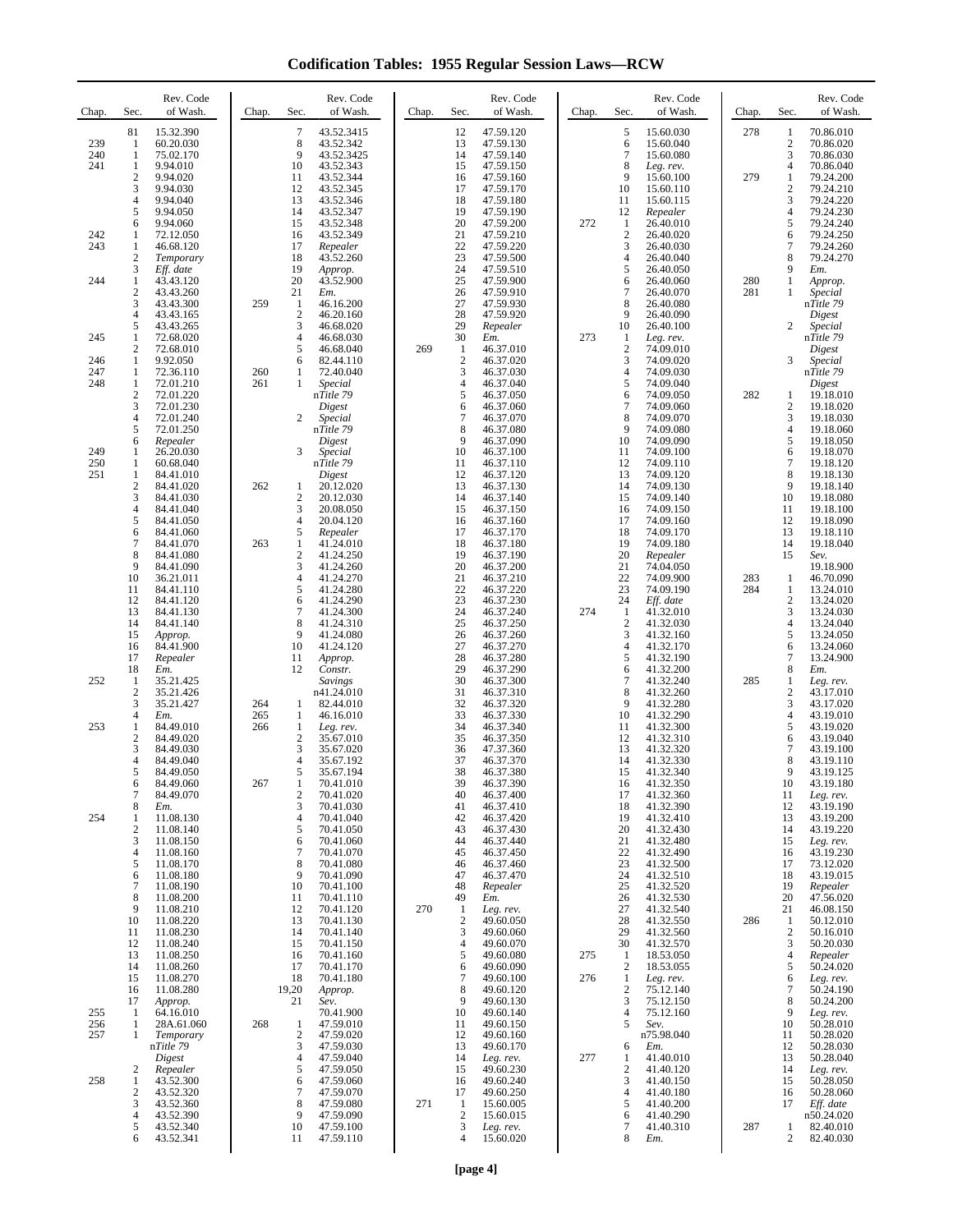**Codification Tables: 1955 Regular Session Laws—RCW**

| Chap.                    | Sec.                                                        | Rev. Code<br>of Wash.                                                                                                                     | Chap.      | Sec.                                                                                               | Rev. Code<br>of Wash.                                                                                                                      | Chap. | Sec.                                                                                     | Rev. Code<br>of Wash.                                                                                                                       | Chap.      | Sec.                                                                    | Rev. Code<br>of Wash.                                                                                                                       | Chap.      | Sec.                                                                                   | Rev. Code<br>of Wash.                                                                                                                      |
|--------------------------|-------------------------------------------------------------|-------------------------------------------------------------------------------------------------------------------------------------------|------------|----------------------------------------------------------------------------------------------------|--------------------------------------------------------------------------------------------------------------------------------------------|-------|------------------------------------------------------------------------------------------|---------------------------------------------------------------------------------------------------------------------------------------------|------------|-------------------------------------------------------------------------|---------------------------------------------------------------------------------------------------------------------------------------------|------------|----------------------------------------------------------------------------------------|--------------------------------------------------------------------------------------------------------------------------------------------|
| 239<br>240<br>241        | 81<br>1<br>$\mathbf{1}$<br>1<br>$\overline{2}$<br>3         | 15.32.390<br>60.20.030<br>75.02.170<br>9.94.010<br>9.94.020<br>9.94.030                                                                   |            | $\overline{7}$<br>8<br>9<br>10<br>11<br>12                                                         | 43.52.3415<br>43.52.342<br>43.52.3425<br>43.52.343<br>43.52.344<br>43.52.345                                                               |       | 12<br>13<br>14<br>15<br>16<br>17                                                         | 47.59.120<br>47.59.130<br>47.59.140<br>47.59.150<br>47.59.160<br>47.59.170                                                                  |            | 5<br>6<br>$\overline{7}$<br>8<br>9<br>10                                | 15.60.030<br>15.60.040<br>15.60.080<br>Leg. rev.<br>15.60.100<br>15.60.110                                                                  | 278<br>279 | 1<br>$\overline{c}$<br>3<br>$\overline{4}$<br>$\mathbf{1}$<br>$\mathfrak{2}$           | 70.86.010<br>70.86.020<br>70.86.030<br>70.86.040<br>79.24.200<br>79.24.210                                                                 |
| 242<br>243               | 4<br>5<br>6<br>1<br>1<br>2                                  | 9.94.040<br>9.94.050<br>9.94.060<br>72.12.050<br>46.68.120<br>Temporary                                                                   |            | 13<br>14<br>15<br>16<br>17<br>18                                                                   | 43.52.346<br>43.52.347<br>43.52.348<br>43.52.349<br>Repealer<br>43.52.260                                                                  |       | 18<br>19<br>20<br>21<br>22<br>23                                                         | 47.59.180<br>47.59.190<br>47.59.200<br>47.59.210<br>47.59.220<br>47.59.500                                                                  | 272        | 11<br>12<br>1<br>$\overline{c}$<br>3<br>4                               | 15.60.115<br>Repealer<br>26.40.010<br>26.40.020<br>26.40.030<br>26.40.040                                                                   |            | 3<br>$\overline{4}$<br>5<br>6<br>$\overline{7}$<br>8                                   | 79.24.220<br>79.24.230<br>79.24.240<br>79.24.250<br>79.24.260<br>79.24.270                                                                 |
| 244                      | 3<br>1<br>$\overline{2}$<br>3<br>4<br>5                     | Eff. date<br>43.43.120<br>43.43.260<br>43.43.300<br>43.43.165<br>43.43.265                                                                | 259        | 19<br>20<br>21<br>-1<br>$\sqrt{2}$<br>3                                                            | Approp.<br>43.52.900<br>Em.<br>46.16.200<br>46.20.160<br>46.68.020                                                                         |       | 24<br>25<br>26<br>27<br>28<br>29                                                         | 47.59.510<br>47.59.900<br>47.59.910<br>47.59.930<br>47.59.920<br>Repealer                                                                   |            | 5<br>6<br>7<br>8<br>9<br>10                                             | 26.40.050<br>26.40.060<br>26.40.070<br>26.40.080<br>26.40.090<br>26.40.100                                                                  | 280<br>281 | 9<br>$\mathbf{1}$<br>1<br>$\mathbf{2}$                                                 | Em.<br>Approp.<br>Special<br>nTitle 79<br>Digest<br>Special                                                                                |
| 245<br>246<br>247<br>248 | 1<br>2<br>1<br>1<br>$\mathbf{1}$                            | 72.68.020<br>72.68.010<br>9.92.050<br>72.36.110<br>72.01.210                                                                              | 260<br>261 | 4<br>5<br>6<br>1<br>$\mathbf{1}$                                                                   | 46.68.030<br>46.68.040<br>82.44.110<br>72.40.040<br>Special                                                                                | 269   | 30<br>1<br>$\sqrt{2}$<br>3<br>$\overline{4}$                                             | Em.<br>46.37.010<br>46.37.020<br>46.37.030<br>46.37.040                                                                                     | 273        | 1<br>$\overline{c}$<br>3<br>4<br>5                                      | Leg. rev.<br>74.09.010<br>74.09.020<br>74.09.030<br>74.09.040                                                                               |            | 3                                                                                      | nTitle 79<br>Digest<br>Special<br>nTitle 79<br>Digest                                                                                      |
| 249                      | 2<br>3<br>4<br>5<br>6<br>1                                  | 72.01.220<br>72.01.230<br>72.01.240<br>72.01.250<br>Repealer<br>26.20.030                                                                 |            | $\mathbf{2}$<br>3                                                                                  | nTitle 79<br>Digest<br>Special<br>nTitle 79<br>Digest<br>Special                                                                           |       | 5<br>6<br>$\overline{7}$<br>8<br>9<br>10                                                 | 46.37.050<br>46.37.060<br>46.37.070<br>46.37.080<br>46.37.090<br>46.37.100                                                                  |            | 6<br>$\overline{7}$<br>8<br>9<br>10<br>11                               | 74.09.050<br>74.09.060<br>74.09.070<br>74.09.080<br>74.09.090<br>74.09.100                                                                  | 282        | 1<br>$\boldsymbol{2}$<br>3<br>$\overline{4}$<br>5<br>6                                 | 19.18.010<br>19.18.020<br>19.18.030<br>19.18.060<br>19.18.050<br>19.18.070                                                                 |
| 250<br>251               | 1<br>1<br>$\mathfrak{2}$<br>3<br>$\overline{4}$<br>5        | 60.68.040<br>84.41.010<br>84.41.020<br>84.41.030<br>84.41.040<br>84.41.050                                                                | 262        | 1<br>$\overline{c}$<br>3<br>$\overline{4}$                                                         | nTitle 79<br>Digest<br>20.12.020<br>20.12.030<br>20.08.050<br>20.04.120                                                                    |       | 11<br>12<br>13<br>14<br>15<br>16                                                         | 46.37.110<br>46.37.120<br>46.37.130<br>46.37.140<br>46.37.150<br>46.37.160                                                                  |            | 12<br>13<br>14<br>15<br>16<br>17                                        | 74.09.110<br>74.09.120<br>74.09.130<br>74.09.140<br>74.09.150<br>74.09.160                                                                  |            | 7<br>8<br>9<br>10<br>11<br>12                                                          | 19.18.120<br>19.18.130<br>19.18.140<br>19.18.080<br>19.18.100<br>19.18.090                                                                 |
|                          | 6<br>7<br>8<br>9<br>10<br>11<br>12<br>13<br>14<br>15<br>16  | 84.41.060<br>84.41.070<br>84.41.080<br>84.41.090<br>36.21.011<br>84.41.110<br>84.41.120<br>84.41.130<br>84.41.140<br>Approp.<br>84.41.900 | 263        | 5<br>$\mathbf{1}$<br>$\sqrt{2}$<br>3<br>$\overline{4}$<br>5<br>6<br>$\overline{7}$<br>8<br>9<br>10 | Repealer<br>41.24.010<br>41.24.250<br>41.24.260<br>41.24.270<br>41.24.280<br>41.24.290<br>41.24.300<br>41.24.310<br>41.24.080<br>41.24.120 |       | 17<br>18<br>19<br>20<br>21<br>22<br>23<br>24<br>25<br>26<br>27                           | 46.37.170<br>46.37.180<br>46.37.190<br>46.37.200<br>46.37.210<br>46.37.220<br>46.37.230<br>46.37.240<br>46.37.250<br>46.37.260<br>46.37.270 | 274        | 18<br>19<br>20<br>21<br>22<br>23<br>24<br>1<br>$\overline{c}$<br>3<br>4 | 74.09.170<br>74.09.180<br>Repealer<br>74.04.050<br>74.09.900<br>74.09.190<br>Eff. date<br>41.32.010<br>41.32.030<br>41.32.160<br>41.32.170  | 283<br>284 | 13<br>14<br>15<br>1<br>$\mathbf{1}$<br>$\overline{c}$<br>3<br>$\overline{4}$<br>5<br>6 | 19.18.110<br>19.18.040<br>Sev.<br>19.18.900<br>46.70.090<br>13.24.010<br>13.24.020<br>13.24.030<br>13.24.040<br>13.24.050<br>13.24.060     |
| 252                      | 17<br>18<br>1<br>$\mathfrak{2}$<br>3<br>$\overline{4}$      | Repealer<br>Em.<br>35.21.425<br>35.21.426<br>35.21.427<br>Em.                                                                             | 264<br>265 | 11<br>12<br>1<br>1                                                                                 | Approp.<br>Constr.<br>Savings<br>n41.24.010<br>82.44.010<br>46.16.010                                                                      |       | 28<br>29<br>30<br>31<br>32<br>33                                                         | 46.37.280<br>46.37.290<br>46.37.300<br>46.37.310<br>46.37.320<br>46.37.330                                                                  |            | 5<br>6<br>7<br>8<br>9<br>10                                             | 41.32.190<br>41.32.200<br>41.32.240<br>41.32.260<br>41.32.280<br>41.32.290                                                                  | 285        | 7<br>8<br>1<br>$\mathbf{2}$<br>3<br>$\overline{4}$                                     | 13.24.900<br>Em.<br>Leg. rev.<br>43.17.010<br>43.17.020<br>43.19.010                                                                       |
| 253                      | 1<br>2<br>3<br>$\overline{4}$<br>5<br>6                     | 84.49.010<br>84.49.020<br>84.49.030<br>84.49.040<br>84.49.050<br>84.49.060                                                                | 266<br>267 | 1<br>$\overline{c}$<br>3<br>$\overline{4}$<br>5<br>1                                               | Leg. rev.<br>35.67.010<br>35.67.020<br>35.67.192<br>35.67.194<br>70.41.010                                                                 |       | 34<br>35<br>36<br>37<br>38<br>39                                                         | 46.37.340<br>46.37.350<br>47.37.360<br>46.37.370<br>46.37.380<br>46.37.390                                                                  |            | 11<br>12<br>13<br>14<br>15<br>16                                        | 41.32.300<br>41.32.310<br>41.32.320<br>41.32.330<br>41.32.340<br>41.32.350                                                                  |            | 5<br>6<br>7<br>8<br>9<br>10                                                            | 43.19.020<br>43.19.040<br>43.19.100<br>43.19.110<br>43.19.125<br>43.19.180                                                                 |
| 254                      | 7<br>8<br>1<br>2<br>3<br>4<br>5<br>6<br>7                   | 84.49.070<br>Em.<br>11.08.130<br>11.08.140<br>11.08.150<br>11.08.160<br>11.08.170<br>11.08.180<br>11.08.190                               |            | $\overline{c}$<br>3<br>4<br>5<br>6<br>$\tau$<br>8<br>9<br>10                                       | 70.41.020<br>70.41.030<br>70.41.040<br>70.41.050<br>70.41.060<br>70.41.070<br>70.41.080<br>70.41.090<br>70.41.100                          |       | 40<br>41<br>42<br>43<br>44<br>45<br>46<br>47<br>48                                       | 46.37.400<br>46.37.410<br>46.37.420<br>46.37.430<br>46.37.440<br>46.37.450<br>46.37.460<br>46.37.470<br>Repealer                            |            | 17<br>18<br>19<br>20<br>21<br>22<br>23<br>24<br>25                      | 41.32.360<br>41.32.390<br>41.32.410<br>41.32.430<br>41.32.480<br>41.32.490<br>41.32.500<br>41.32.510<br>41.32.520                           |            | 11<br>12<br>13<br>14<br>15<br>16<br>17<br>18<br>19                                     | Leg. rev.<br>43.19.190<br>43.19.200<br>43.19.220<br>Leg. rev.<br>43.19.230<br>73.12.020<br>43.19.015<br>Repealer                           |
| 255                      | 8<br>9<br>10<br>11<br>12<br>13<br>14<br>15<br>16<br>17<br>1 | 11.08.200<br>11.08.210<br>11.08.220<br>11.08.230<br>11.08.240<br>11.08.250<br>11.08.260<br>11.08.270<br>11.08.280<br>Approp.<br>64.16.010 |            | 11<br>12<br>13<br>14<br>15<br>16<br>17<br>18<br>19,20<br>21                                        | 70.41.110<br>70.41.120<br>70.41.130<br>70.41.140<br>70.41.150<br>70.41.160<br>70.41.170<br>70.41.180<br>Approp.<br>Sev.<br>70.41.900       | 270   | 49<br>1<br>$\sqrt{2}$<br>3<br>$\overline{4}$<br>5<br>6<br>$\overline{7}$<br>8<br>9<br>10 | Em.<br>Leg. rev.<br>49.60.050<br>49.60.060<br>49.60.070<br>49.60.080<br>49.60.090<br>49.60.100<br>49.60.120<br>49.60.130<br>49.60.140       | 275<br>276 | 26<br>27<br>28<br>29<br>30<br>1<br>$\overline{c}$<br>1<br>2<br>3<br>4   | 41.32.530<br>41.32.540<br>41.32.550<br>41.32.560<br>41.32.570<br>18.53.050<br>18.53.055<br>Leg. rev.<br>75.12.140<br>75.12.150<br>75.12.160 | 286        | 20<br>21<br>1<br>$\mathfrak{2}$<br>3<br>$\overline{4}$<br>5<br>6<br>7<br>8<br>9        | 47.56.020<br>46.08.150<br>50.12.010<br>50.16.010<br>50.20.030<br>Repealer<br>50.24.020<br>Leg. rev.<br>50.24.190<br>50.24.200<br>Leg. rev. |
| 256<br>257<br>258        | 1<br>1<br>2<br>1                                            | 28A.61.060<br>Temporary<br>nTitle 79<br>Digest<br>Repealer<br>43.52.300                                                                   | 268        | 1<br>$\boldsymbol{2}$<br>3<br>$\overline{4}$<br>5<br>6                                             | 47.59.010<br>47.59.020<br>47.59.030<br>47.59.040<br>47.59.050<br>47.59.060                                                                 |       | 11<br>12<br>13<br>14<br>15<br>16                                                         | 49.60.150<br>49.60.160<br>49.60.170<br>Leg. rev.<br>49.60.230<br>49.60.240                                                                  | 277        | 5<br>6<br>1<br>$\overline{2}$<br>3                                      | Sev.<br>n75.98.040<br>Em.<br>41.40.010<br>41.40.120<br>41.40.150                                                                            |            | 10<br>11<br>12<br>13<br>14<br>15                                                       | 50.28.010<br>50.28.020<br>50.28.030<br>50.28.040<br>Leg. rev.<br>50.28.050                                                                 |
|                          | 2<br>3<br>4<br>5<br>6                                       | 43.52.320<br>43.52.360<br>43.52.390<br>43.52.340<br>43.52.341                                                                             |            | $\tau$<br>8<br>9<br>10<br>11                                                                       | 47.59.070<br>47.59.080<br>47.59.090<br>47.59.100<br>47.59.110                                                                              | 271   | 17<br>1<br>$\sqrt{2}$<br>3<br>$\overline{4}$                                             | 49.60.250<br>15.60.005<br>15.60.015<br>Leg. rev.<br>15.60.020                                                                               |            | 4<br>5<br>6<br>7<br>8                                                   | 41.40.180<br>41.40.200<br>41.40.290<br>41.40.310<br>Em.                                                                                     | 287        | 16<br>17<br>1<br>$\overline{c}$                                                        | 50.28.060<br>Eff. date<br>n50.24.020<br>82.40.010<br>82.40.030                                                                             |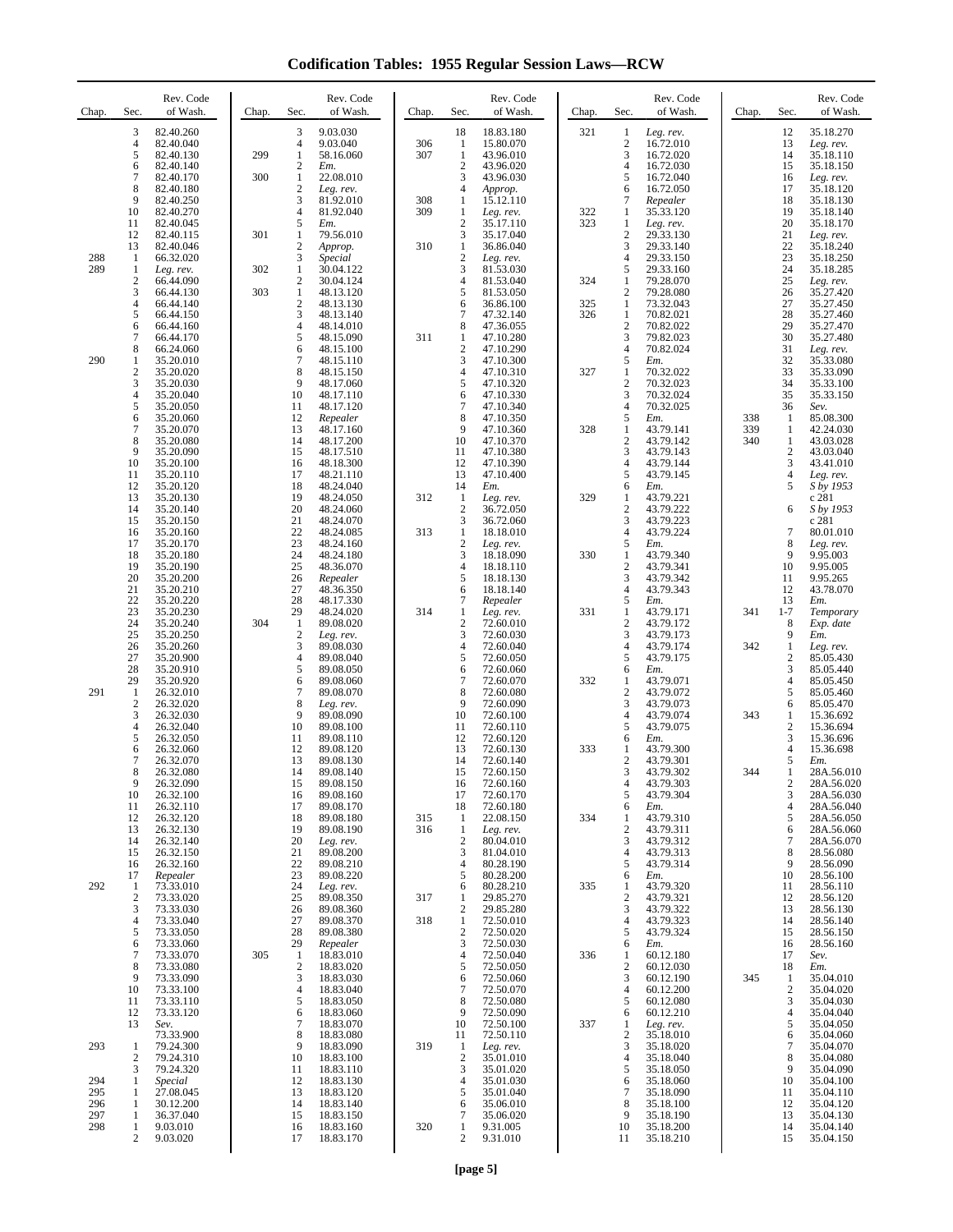**Codification Tables: 1955 Regular Session Laws—RCW**

| Chap.      | Sec.                                    | Rev. Code<br>of Wash.  | Chap. | Sec.                           | Rev. Code<br>of Wash.     | Chap.      | Sec.                                          | Rev. Code<br>of Wash.  | Chap.      | Sec.                             | Rev. Code<br>of Wash.  | Chap.      | Sec.                           | Rev. Code<br>of Wash.    |
|------------|-----------------------------------------|------------------------|-------|--------------------------------|---------------------------|------------|-----------------------------------------------|------------------------|------------|----------------------------------|------------------------|------------|--------------------------------|--------------------------|
|            | 3<br>4                                  | 82.40.260<br>82.40.040 |       | 3<br>4                         | 9.03.030<br>9.03.040      | 306        | 18<br>1                                       | 18.83.180              | 321        | $\mathbf{1}$<br>$\boldsymbol{2}$ | Leg. rev.<br>16.72.010 |            | 12<br>13                       | 35.18.270                |
|            | 5                                       | 82.40.130              | 299   | 1                              | 58.16.060                 | 307        | $\mathbf{1}$                                  | 15.80.070<br>43.96.010 |            | 3                                | 16.72.020              |            | 14                             | Leg. rev.<br>35.18.110   |
|            | 6<br>7                                  | 82.40.140<br>82.40.170 | 300   | $\mathfrak{2}$<br>$\mathbf{1}$ | Em.<br>22.08.010          |            | $\overline{c}$<br>3                           | 43.96.020<br>43.96.030 |            | 4<br>5                           | 16.72.030<br>16.72.040 |            | 15<br>16                       | 35.18.150<br>Leg. rev.   |
|            | 8<br>9                                  | 82.40.180<br>82.40.250 |       | $\mathfrak{2}$<br>3            | Leg. rev.<br>81.92.010    | 308        | 4<br>1                                        | Approp.<br>15.12.110   |            | 6<br>7                           | 16.72.050<br>Repealer  |            | 17<br>18                       | 35.18.120<br>35.18.130   |
|            | 10                                      | 82.40.270              |       | $\overline{4}$<br>5            | 81.92.040                 | 309        | 1<br>$\overline{2}$                           | Leg. rev.              | 322<br>323 | 1                                | 35.33.120              |            | 19                             | 35.18.140                |
|            | 11<br>12                                | 82.40.045<br>82.40.115 | 301   | 1                              | Em.<br>79.56.010          |            | 3                                             | 35.17.110<br>35.17.040 |            | 1<br>$\boldsymbol{2}$            | Leg. rev.<br>29.33.130 |            | 20<br>21                       | 35.18.170<br>Leg. rev.   |
| 288        | 13<br>-1                                | 82.40.046<br>66.32.020 |       | $\overline{c}$<br>3            | Approp.<br><i>Special</i> | 310        | $\mathbf{1}$<br>$\sqrt{2}$                    | 36.86.040<br>Leg. rev. |            | 3<br>$\overline{4}$              | 29.33.140<br>29.33.150 |            | 22<br>23                       | 35.18.240<br>35.18.250   |
| 289        | 1<br>$\overline{2}$                     | Leg. rev.<br>66.44.090 | 302   | $\mathbf{1}$<br>$\mathfrak{2}$ | 30.04.122<br>30.04.124    |            | 3<br>$\overline{4}$                           | 81.53.030<br>81.53.040 | 324        | 5<br>1                           | 29.33.160<br>79.28.070 |            | 24<br>25                       | 35.18.285<br>Leg. rev.   |
|            | 3                                       | 66.44.130              | 303   | $\mathbf{1}$                   | 48.13.120                 |            | 5                                             | 81.53.050              |            | 2                                | 79.28.080              |            | 26                             | 35.27.420                |
|            | $\overline{4}$<br>5                     | 66.44.140<br>66.44.150 |       | $\mathbf{2}$<br>3              | 48.13.130<br>48.13.140    |            | 6<br>$\overline{7}$                           | 36.86.100<br>47.32.140 | 325<br>326 | 1<br>1                           | 73.32.043<br>70.82.021 |            | 27<br>28                       | 35.27.450<br>35.27.460   |
|            | 6<br>7                                  | 66.44.160<br>66.44.170 |       | $\overline{4}$<br>5            | 48.14.010<br>48.15.090    | 311        | 8<br>1                                        | 47.36.055<br>47.10.280 |            | $\overline{c}$<br>3              | 70.82.022<br>79.82.023 |            | 29<br>30                       | 35.27.470<br>35.27.480   |
| 290        | 8<br>1                                  | 66.24.060<br>35.20.010 |       | 6<br>$\tau$                    | 48.15.100<br>48.15.110    |            | $\overline{2}$<br>$\ensuremath{\mathfrak{Z}}$ | 47.10.290<br>47.10.300 |            | 4<br>5                           | 70.82.024<br>Em.       |            | 31<br>32                       | Leg. rev.<br>35.33.080   |
|            | $\overline{2}$                          | 35.20.020              |       | 8                              | 48.15.150                 |            | $\overline{4}$                                | 47.10.310              | 327        | 1                                | 70.32.022              |            | 33                             | 35.33.090                |
|            | 3<br>4                                  | 35.20.030<br>35.20.040 |       | 9<br>10                        | 48.17.060<br>48.17.110    |            | 5<br>6                                        | 47.10.320<br>47.10.330 |            | $\overline{c}$<br>3              | 70.32.023<br>70.32.024 |            | 34<br>35                       | 35.33.100<br>35.33.150   |
|            | 5<br>6                                  | 35.20.050<br>35.20.060 |       | 11<br>12                       | 48.17.120<br>Repealer     |            | $\overline{7}$<br>8                           | 47.10.340<br>47.10.350 |            | $\overline{4}$<br>5              | 70.32.025<br>Em.       | 338        | 36<br>1                        | Sev.<br>85.08.300        |
|            | 7<br>8                                  | 35.20.070<br>35.20.080 |       | 13<br>14                       | 48.17.160<br>48.17.200    |            | 9<br>10                                       | 47.10.360<br>47.10.370 | 328        | 1<br>$\overline{c}$              | 43.79.141<br>43.79.142 | 339<br>340 | 1<br>1                         | 42.24.030<br>43.03.028   |
|            | 9                                       | 35.20.090              |       | 15                             | 48.17.510                 |            | 11                                            | 47.10.380              |            | 3                                | 43.79.143              |            | $\overline{c}$                 | 43.03.040                |
|            | 10<br>11                                | 35.20.100<br>35.20.110 |       | 16<br>17                       | 48.18.300<br>48.21.110    |            | 12<br>13                                      | 47.10.390<br>47.10.400 |            | 4<br>5                           | 43.79.144<br>43.79.145 |            | 3<br>$\overline{4}$            | 43.41.010<br>Leg. rev.   |
|            | 12<br>13                                | 35.20.120<br>35.20.130 |       | 18<br>19                       | 48.24.040<br>48.24.050    | 312        | 14<br>1                                       | Em.<br>Leg. rev.       | 329        | 6<br>1                           | Em.<br>43.79.221       |            | 5                              | S by 1953<br>c 281       |
|            | 14<br>15                                | 35.20.140<br>35.20.150 |       | 20<br>21                       | 48.24.060<br>48.24.070    |            | $\boldsymbol{2}$<br>3                         | 36.72.050<br>36.72.060 |            | $\overline{c}$<br>3              | 43.79.222<br>43.79.223 |            | 6                              | S by 1953<br>c 281       |
|            | 16<br>17                                | 35.20.160<br>35.20.170 |       | 22<br>23                       | 48.24.085<br>48.24.160    | 313        | $\mathbf{1}$<br>$\boldsymbol{2}$              | 18.18.010              |            | $\overline{4}$<br>5              | 43.79.224              |            | 7<br>8                         | 80.01.010                |
|            | 18                                      | 35.20.180              |       | 24                             | 48.24.180                 |            | 3                                             | Leg. rev.<br>18.18.090 | 330        | 1                                | Em.<br>43.79.340       |            | 9                              | Leg. rev.<br>9.95.003    |
|            | 19<br>20                                | 35.20.190<br>35.20.200 |       | 25<br>26                       | 48.36.070<br>Repealer     |            | $\overline{4}$<br>5                           | 18.18.110<br>18.18.130 |            | 2<br>3                           | 43.79.341<br>43.79.342 |            | 10<br>11                       | 9.95.005<br>9.95.265     |
|            | 21<br>22                                | 35.20.210<br>35.20.220 |       | 27<br>28                       | 48.36.350<br>48.17.330    |            | 6<br>$\tau$                                   | 18.18.140<br>Repealer  |            | 4<br>5                           | 43.79.343<br>Em.       |            | 12<br>13                       | 43.78.070<br>Em.         |
|            | 23<br>24                                | 35.20.230<br>35.20.240 | 304   | 29<br>1                        | 48.24.020<br>89.08.020    | 314        | 1<br>$\mathfrak{2}$                           | Leg. rev.<br>72.60.010 | 331        | 1<br>$\overline{c}$              | 43.79.171<br>43.79.172 | 341        | $1 - 7$<br>8                   | Temporary<br>Exp. date   |
|            | 25                                      | 35.20.250              |       | $\mathfrak{2}$                 | Leg. rev.                 |            | 3                                             | 72.60.030              |            | 3                                | 43.79.173              |            | 9                              | Em.                      |
|            | 26<br>27                                | 35.20.260<br>35.20.900 |       | 3<br>$\overline{4}$            | 89.08.030<br>89.08.040    |            | $\overline{4}$<br>5                           | 72.60.040<br>72.60.050 |            | 4<br>5                           | 43.79.174<br>43.79.175 | 342        | $\mathbf{1}$<br>$\overline{2}$ | Leg. rev.<br>85.05.430   |
|            | 28<br>29                                | 35.20.910<br>35.20.920 |       | 5<br>6                         | 89.08.050<br>89.08.060    |            | 6<br>$\overline{7}$                           | 72.60.060<br>72.60.070 | 332        | 6<br>1                           | Em.<br>43.79.071       |            | 3<br>4                         | 85.05.440<br>85.05.450   |
| 291        | $\mathbf{1}$<br>$\overline{\mathbf{c}}$ | 26.32.010<br>26.32.020 |       | 7<br>8                         | 89.08.070<br>Leg. rev.    |            | 8<br>9                                        | 72.60.080<br>72.60.090 |            | $\overline{c}$<br>3              | 43.79.072<br>43.79.073 |            | 5<br>6                         | 85.05.460<br>85.05.470   |
|            | 3<br>4                                  | 26.32.030<br>26.32.040 |       | 9<br>10                        | 89.08.090<br>89.08.100    |            | 10<br>11                                      | 72.60.100<br>72.60.110 |            | 4<br>5                           | 43.79.074<br>43.79.075 | 343        | 1<br>$\overline{c}$            | 15.36.692<br>15.36.694   |
|            | 5                                       | 26.32.050              |       | 11                             | 89.08.110                 |            | 12                                            | 72.60.120              |            | 6                                | Em.                    |            | 3                              | 15.36.696                |
|            | 6<br>7                                  | 26.32.060<br>26.32.070 |       | 12<br>13                       | 89.08.120<br>89.08.130    |            | 13<br>14                                      | 72.60.130<br>72.60.140 | 333        | 1<br>$\overline{c}$              | 43.79.300<br>43.79.301 |            | 4<br>5                         | 15.36.698<br>Em.         |
|            | 8<br>9                                  | 26.32.080<br>26.32.090 |       | 14<br>15                       | 89.08.140<br>89.08.150    |            | 15<br>16                                      | 72.60.150<br>72.60.160 |            | 3<br>4                           | 43.79.302<br>43.79.303 | 344        | -1<br>2                        | 28A.56.010<br>28A.56.020 |
|            | 10<br>11                                | 26.32.100<br>26.32.110 |       | 16<br>17                       | 89.08.160<br>89.08.170    |            | 17<br>18                                      | 72.60.170<br>72.60.180 |            | 5<br>6                           | 43.79.304<br>Em.       |            | 3<br>$\overline{4}$            | 28A.56.030<br>28A.56.040 |
|            | 12<br>13                                | 26.32.120<br>26.32.130 |       | 18<br>19                       | 89.08.180<br>89.08.190    | 315<br>316 | 1<br>1                                        | 22.08.150<br>Leg. rev. | 334        | 1<br>$\overline{c}$              | 43.79.310<br>43.79.311 |            | 5<br>6                         | 28A.56.050<br>28A.56.060 |
|            | 14                                      | 26.32.140              |       | 20                             | Leg. rev.                 |            | $\sqrt{2}$                                    | 80.04.010              |            | 3                                | 43.79.312              |            | 7                              | 28A.56.070               |
|            | 15<br>16                                | 26.32.150<br>26.32.160 |       | 21<br>22                       | 89.08.200<br>89.08.210    |            | 3<br>$\overline{4}$                           | 81.04.010<br>80.28.190 |            | 4<br>5                           | 43.79.313<br>43.79.314 |            | 8<br>9                         | 28.56.080<br>28.56.090   |
| 292        | 17<br>-1                                | Repealer<br>73.33.010  |       | 23<br>24                       | 89.08.220<br>Leg. rev.    |            | 5<br>6                                        | 80.28.200<br>80.28.210 | 335        | 6<br>1                           | Em.<br>43.79.320       |            | 10<br>11                       | 28.56.100<br>28.56.110   |
|            | $\overline{2}$<br>3                     | 73.33.020<br>73.33.030 |       | 25<br>26                       | 89.08.350<br>89.08.360    | 317        | 1<br>$\overline{c}$                           | 29.85.270<br>29.85.280 |            | $\overline{c}$<br>3              | 43.79.321<br>43.79.322 |            | 12<br>13                       | 28.56.120<br>28.56.130   |
|            | 4<br>5                                  | 73.33.040<br>73.33.050 |       | 27<br>28                       | 89.08.370<br>89.08.380    | 318        | 1<br>$\mathbf{2}$                             | 72.50.010<br>72.50.020 |            | $\overline{4}$<br>5              | 43.79.323<br>43.79.324 |            | 14<br>15                       | 28.56.140<br>28.56.150   |
|            | 6                                       | 73.33.060              |       | 29                             | Repealer                  |            | 3                                             | 72.50.030              |            | 6                                | Em.                    |            | 16                             | 28.56.160                |
|            | 7<br>8                                  | 73.33.070<br>73.33.080 | 305   | $\mathbf{1}$<br>$\mathfrak{2}$ | 18.83.010<br>18.83.020    |            | $\overline{4}$<br>5                           | 72.50.040<br>72.50.050 | 336        | 1<br>$\overline{c}$              | 60.12.180<br>60.12.030 |            | 17<br>18                       | Sev.<br>Em.              |
|            | 9<br>10                                 | 73.33.090<br>73.33.100 |       | 3<br>$\overline{4}$            | 18.83.030<br>18.83.040    |            | 6<br>7                                        | 72.50.060<br>72.50.070 |            | 3<br>$\overline{4}$              | 60.12.190<br>60.12.200 | 345        | 1<br>$\mathfrak{2}$            | 35.04.010<br>35.04.020   |
|            | 11<br>12                                | 73.33.110<br>73.33.120 |       | 5<br>6                         | 18.83.050<br>18.83.060    |            | 8<br>9                                        | 72.50.080<br>72.50.090 |            | 5<br>6                           | 60.12.080<br>60.12.210 |            | 3<br>$\overline{4}$            | 35.04.030<br>35.04.040   |
|            | 13                                      | Sev.<br>73.33.900      |       | 7<br>8                         | 18.83.070<br>18.83.080    |            | 10<br>11                                      | 72.50.100<br>72.50.110 | 337        | 1<br>$\overline{c}$              | Leg. rev.<br>35.18.010 |            | 5<br>6                         | 35.04.050<br>35.04.060   |
| 293        | 1                                       | 79.24.300              |       | 9                              | 18.83.090                 | 319        | 1<br>$\mathbf{2}$                             | Leg. rev.              |            | 3                                | 35.18.020              |            | 7<br>8                         | 35.04.070                |
|            | 2<br>3                                  | 79.24.310<br>79.24.320 |       | 10<br>11                       | 18.83.100<br>18.83.110    |            | 3                                             | 35.01.010<br>35.01.020 |            | 4<br>5                           | 35.18.040<br>35.18.050 |            | 9                              | 35.04.080<br>35.04.090   |
| 294<br>295 | 1<br>1                                  | Special<br>27.08.045   |       | 12<br>13                       | 18.83.130<br>18.83.120    |            | 4<br>5                                        | 35.01.030<br>35.01.040 |            | 6<br>7                           | 35.18.060<br>35.18.090 |            | 10<br>11                       | 35.04.100<br>35.04.110   |
| 296<br>297 | 1<br>1                                  | 30.12.200<br>36.37.040 |       | 14<br>15                       | 18.83.140<br>18.83.150    |            | 6<br>$\overline{7}$                           | 35.06.010<br>35.06.020 |            | 8<br>9                           | 35.18.100<br>35.18.190 |            | 12<br>13                       | 35.04.120<br>35.04.130   |
| 298        | 1<br>2                                  | 9.03.010<br>9.03.020   |       | 16<br>17                       | 18.83.160<br>18.83.170    | 320        | 1<br>$\overline{c}$                           | 9.31.005<br>9.31.010   |            | 10<br>11                         | 35.18.200<br>35.18.210 |            | 14<br>15                       | 35.04.140<br>35.04.150   |
|            |                                         |                        |       |                                |                           |            |                                               |                        |            |                                  |                        |            |                                |                          |